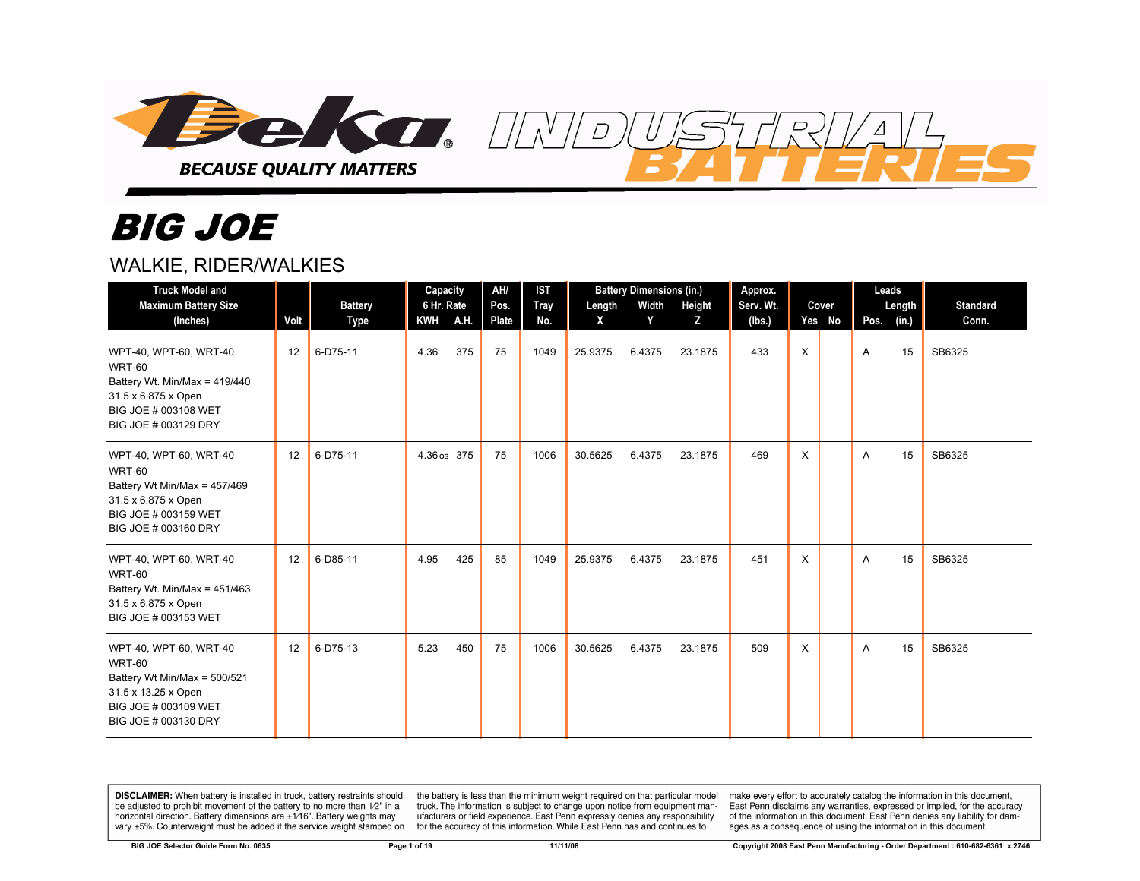

# *BIG JOE*

#### WALKIE, RIDER/WALKIES

| <b>Truck Model and</b><br><b>Maximum Battery Size</b><br>(Inches)                                                                               | Volt | <b>Battery</b><br>Type | Capacity<br>6 Hr. Rate<br><b>KWH</b> | <b>A.H.</b> | AH/<br>Pos.<br>Plate | <b>IST</b><br><b>Tray</b><br>No. | Length<br>X | <b>Battery Dimensions (in.)</b><br>Width<br>Y | Height<br>Z | Approx.<br>Serv. Wt.<br>(lbs.) |   | Cover<br>Yes No |   | Leads<br>Length<br>Pos. $(in.)$ | <b>Standard</b><br>Conn. |
|-------------------------------------------------------------------------------------------------------------------------------------------------|------|------------------------|--------------------------------------|-------------|----------------------|----------------------------------|-------------|-----------------------------------------------|-------------|--------------------------------|---|-----------------|---|---------------------------------|--------------------------|
| WPT-40, WPT-60, WRT-40<br><b>WRT-60</b><br>Battery Wt. Min/Max = 419/440<br>31.5 x 6.875 x Open<br>BIG JOE # 003108 WET<br>BIG JOE # 003129 DRY | 12   | 6-D75-11               | 4.36                                 | 375         | 75                   | 1049                             | 25.9375     | 6.4375                                        | 23.1875     | 433                            | X |                 | A | 15                              | SB6325                   |
| WPT-40, WPT-60, WRT-40<br><b>WRT-60</b><br>Battery Wt Min/Max = 457/469<br>31.5 x 6.875 x Open<br>BIG JOE # 003159 WET<br>BIG JOE # 003160 DRY  | 12   | 6-D75-11               | 4.36 os 375                          |             | 75                   | 1006                             | 30.5625     | 6.4375                                        | 23.1875     | 469                            | X |                 | Α | 15                              | SB6325                   |
| WPT-40, WPT-60, WRT-40<br><b>WRT-60</b><br>Battery Wt. Min/Max = $451/463$<br>31.5 x 6.875 x Open<br>BIG JOE # 003153 WET                       | 12   | 6-D85-11               | 4.95                                 | 425         | 85                   | 1049                             | 25.9375     | 6.4375                                        | 23.1875     | 451                            | X |                 | A | 15                              | SB6325                   |
| WPT-40, WPT-60, WRT-40<br><b>WRT-60</b><br>Battery Wt Min/Max = 500/521<br>31.5 x 13.25 x Open<br>BIG JOE # 003109 WET<br>BIG JOE # 003130 DRY  | 12   | 6-D75-13               | 5.23                                 | 450         | 75                   | 1006                             | 30.5625     | 6.4375                                        | 23.1875     | 509                            | X |                 | A | 15                              | SB6325                   |

 $\overline{D}$ 

DISCLAIMER: When battery is installed in truck, battery restraints should be adjusted to prohibit movement of the battery to no more than 1/2" in a horizontal direction. Battery dimensions are  $\pm 1/16$ ". Battery weights may vary ±5%. Counterweight must be added if the service weight stamped on

the battery is less than the minimum weight required on that particular model truck. The information is subject to change upon notice from equipment manufacturers or field experience. East Penn expressly denies any responsibility for the accuracy of this information. While East Penn has and continues to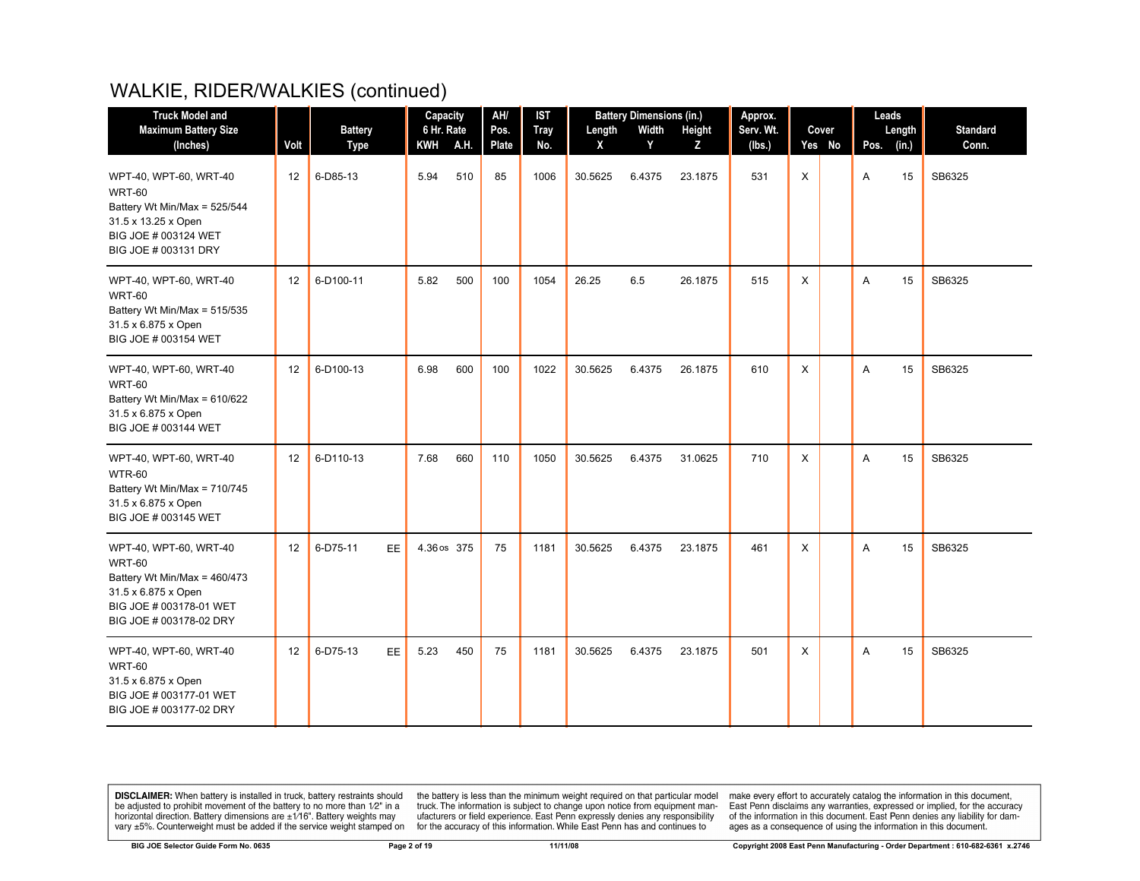| <b>Truck Model and</b>                                                                                                                               |      |                       | Capacity    |     | AH/   | <b>IST</b>  |         | <b>Battery Dimensions (in.)</b> |         | Approx.   |          |        | Leads |        |                 |
|------------------------------------------------------------------------------------------------------------------------------------------------------|------|-----------------------|-------------|-----|-------|-------------|---------|---------------------------------|---------|-----------|----------|--------|-------|--------|-----------------|
| <b>Maximum Battery Size</b>                                                                                                                          |      | <b>Battery</b>        | 6 Hr. Rate  |     | Pos.  | <b>Tray</b> | Length  | Width                           | Height  | Serv. Wt. |          | Cover  |       | Length | <b>Standard</b> |
| (Inches)                                                                                                                                             | Volt | Type                  | KWH A.H.    |     | Plate | No.         | X       | Y                               | Z       | (lbs.)    |          | Yes No | Pos.  | (in.)  | Conn.           |
| WPT-40, WPT-60, WRT-40<br><b>WRT-60</b><br>Battery Wt Min/Max = 525/544<br>31.5 x 13.25 x Open<br>BIG JOE # 003124 WET<br>BIG JOE # 003131 DRY       | 12   | 6-D85-13              | 5.94        | 510 | 85    | 1006        | 30.5625 | 6.4375                          | 23.1875 | 531       | X        |        | A     | 15     | SB6325          |
| WPT-40, WPT-60, WRT-40<br><b>WRT-60</b><br>Battery Wt Min/Max = 515/535<br>31.5 x 6.875 x Open<br>BIG JOE # 003154 WET                               | 12   | 6-D100-11             | 5.82        | 500 | 100   | 1054        | 26.25   | 6.5                             | 26.1875 | 515       | X        |        | A     | 15     | SB6325          |
| WPT-40, WPT-60, WRT-40<br><b>WRT-60</b><br>Battery Wt Min/Max = 610/622<br>31.5 x 6.875 x Open<br>BIG JOE # 003144 WET                               | 12   | 6-D100-13             | 6.98        | 600 | 100   | 1022        | 30.5625 | 6.4375                          | 26.1875 | 610       | $\times$ |        | A     | 15     | SB6325          |
| WPT-40, WPT-60, WRT-40<br><b>WTR-60</b><br>Battery Wt Min/Max = 710/745<br>31.5 x 6.875 x Open<br>BIG JOE # 003145 WET                               | 12   | 6-D110-13             | 7.68        | 660 | 110   | 1050        | 30.5625 | 6.4375                          | 31.0625 | 710       | Χ        |        | A     | 15     | SB6325          |
| WPT-40, WPT-60, WRT-40<br><b>WRT-60</b><br>Battery Wt Min/Max = 460/473<br>31.5 x 6.875 x Open<br>BIG JOE # 003178-01 WET<br>BIG JOE # 003178-02 DRY | 12   | 6-D75-11<br><b>EE</b> | 4.36 os 375 |     | 75    | 1181        | 30.5625 | 6.4375                          | 23.1875 | 461       | $\times$ |        | A     | 15     | SB6325          |
| WPT-40, WPT-60, WRT-40<br><b>WRT-60</b><br>31.5 x 6.875 x Open<br>BIG JOE # 003177-01 WET<br>BIG JOE # 003177-02 DRY                                 | 12   | 6-D75-13<br>EE.       | 5.23        | 450 | 75    | 1181        | 30.5625 | 6.4375                          | 23.1875 | 501       | X        |        | A     | 15     | SB6325          |

**DISCLAIMER:** When battery is installed in truck, battery restraints should be adjusted to prohibit movement of the battery to no more than  $12^v$  in a horizontal direction. Battery dimensions are  $\pm 1/16^v$ . Battery wei

the battery is less than the minimum weight required on that particular model<br>truck. The information is subject to change upon notice from equipment man-<br>ufacturers or field experience. East Penn expressly denies any respo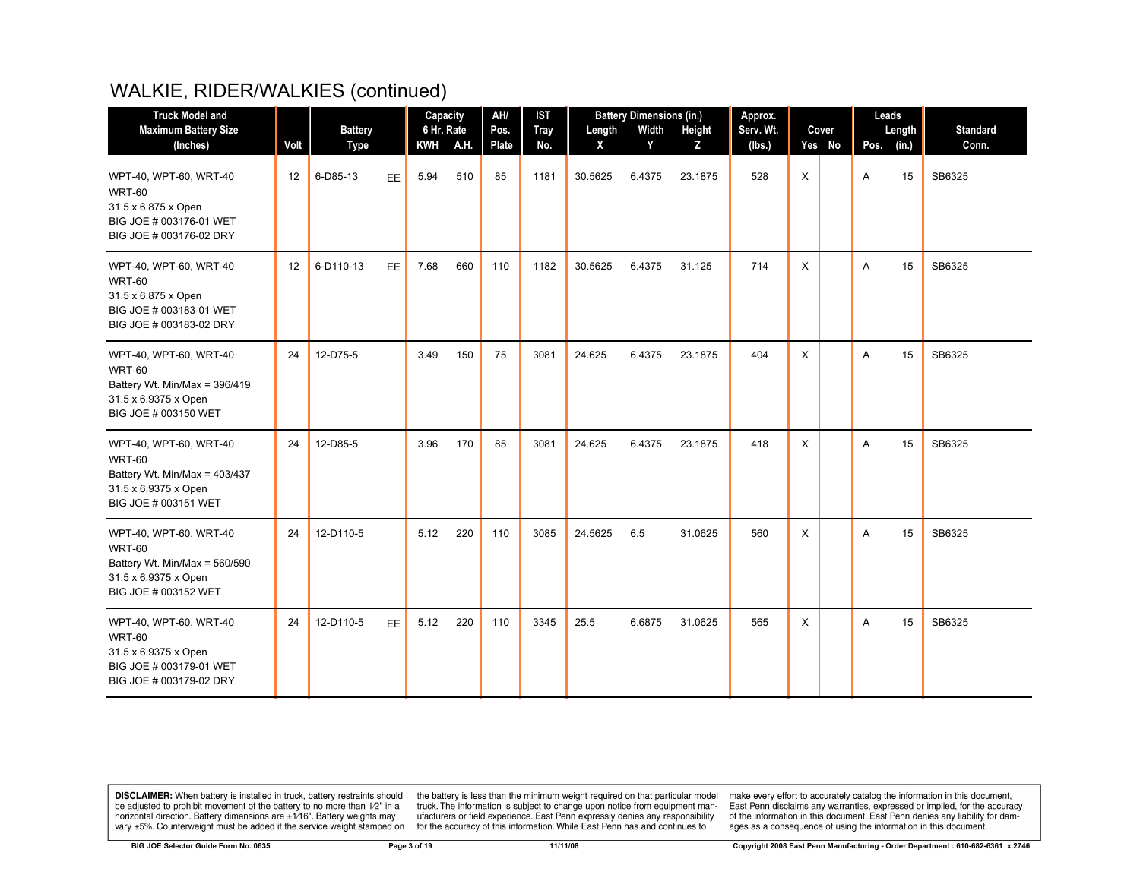| <b>Truck Model and</b>                                                                                                   |      |                         |           | Capacity                 |      | AH/                  | <b>IST</b>         |             | <b>Battery Dimensions (in.)</b> |             | Approx.       |   |                 | Leads |                 |                          |
|--------------------------------------------------------------------------------------------------------------------------|------|-------------------------|-----------|--------------------------|------|----------------------|--------------------|-------------|---------------------------------|-------------|---------------|---|-----------------|-------|-----------------|--------------------------|
| <b>Maximum Battery Size</b><br>(Inches)                                                                                  | Volt | <b>Battery</b>          |           | 6 Hr. Rate<br><b>KWH</b> | A.H. | Pos.<br><b>Plate</b> | <b>Tray</b><br>No. | Length<br>X | Width<br>Y                      | Height<br>z | Serv. Wt.     |   | Cover<br>Yes No | Pos.  | Length<br>(in.) | <b>Standard</b><br>Conn. |
| WPT-40, WPT-60, WRT-40<br><b>WRT-60</b><br>31.5 x 6.875 x Open<br>BIG JOE # 003176-01 WET<br>BIG JOE # 003176-02 DRY     | 12   | <b>Type</b><br>6-D85-13 | EE.       | 5.94                     | 510  | 85                   | 1181               | 30.5625     | 6.4375                          | 23.1875     | (lbs.)<br>528 | X |                 | A     | 15              | SB6325                   |
| WPT-40, WPT-60, WRT-40<br><b>WRT-60</b><br>31.5 x 6.875 x Open<br>BIG JOE # 003183-01 WET<br>BIG JOE # 003183-02 DRY     | 12   | 6-D110-13               | EE        | 7.68                     | 660  | 110                  | 1182               | 30.5625     | 6.4375                          | 31.125      | 714           | X |                 | A     | 15              | SB6325                   |
| WPT-40, WPT-60, WRT-40<br><b>WRT-60</b><br>Battery Wt. Min/Max = 396/419<br>31.5 x 6.9375 x Open<br>BIG JOE # 003150 WET | 24   | 12-D75-5                |           | 3.49                     | 150  | 75                   | 3081               | 24.625      | 6.4375                          | 23.1875     | 404           | X |                 | A     | 15              | SB6325                   |
| WPT-40, WPT-60, WRT-40<br><b>WRT-60</b><br>Battery Wt. Min/Max = 403/437<br>31.5 x 6.9375 x Open<br>BIG JOE # 003151 WET | 24   | 12-D85-5                |           | 3.96                     | 170  | 85                   | 3081               | 24.625      | 6.4375                          | 23.1875     | 418           | X |                 | A     | 15              | SB6325                   |
| WPT-40, WPT-60, WRT-40<br><b>WRT-60</b><br>Battery Wt. Min/Max = 560/590<br>31.5 x 6.9375 x Open<br>BIG JOE # 003152 WET | 24   | 12-D110-5               |           | 5.12                     | 220  | 110                  | 3085               | 24.5625     | 6.5                             | 31.0625     | 560           | X |                 | A     | 15              | SB6325                   |
| WPT-40, WPT-60, WRT-40<br><b>WRT-60</b><br>31.5 x 6.9375 x Open<br>BIG JOE # 003179-01 WET<br>BIG JOE # 003179-02 DRY    | 24   | 12-D110-5               | <b>EE</b> | 5.12                     | 220  | 110                  | 3345               | 25.5        | 6.6875                          | 31.0625     | 565           | X |                 | Α     | 15              | SB6325                   |

**DISCLAIMER:** When battery is installed in truck, battery restraints should be adjusted to prohibit movement of the battery to no more than  $12^v$  in a horizontal direction. Battery dimensions are  $\pm 1/16^v$ . Battery wei

the battery is less than the minimum weight required on that particular model<br>truck. The information is subject to change upon notice from equipment man-<br>ufacturers or field experience. East Penn expressly denies any respo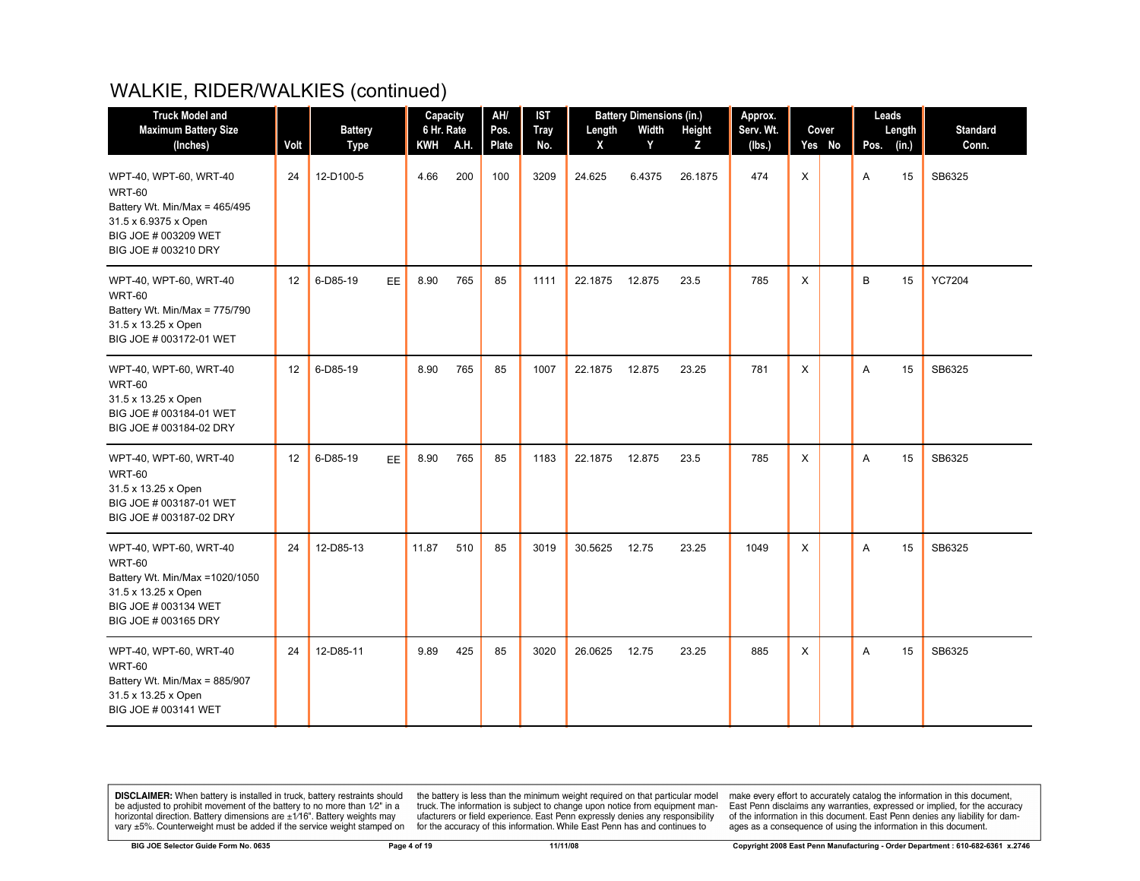| <b>Truck Model and</b>                                                                                                                             |      |                          | Capacity   |          | AH/           | <b>IST</b>         |                        | <b>Battery Dimensions (in.)</b> |             | Approx.       |          |                 | Leads |             |                          |
|----------------------------------------------------------------------------------------------------------------------------------------------------|------|--------------------------|------------|----------|---------------|--------------------|------------------------|---------------------------------|-------------|---------------|----------|-----------------|-------|-------------|--------------------------|
| <b>Maximum Battery Size</b>                                                                                                                        | Volt | <b>Battery</b>           | 6 Hr. Rate | KWH A.H. | Pos.<br>Plate | <b>Tray</b><br>No. | Length<br>$\mathsf{x}$ | Width<br>Y                      | Height<br>Z | Serv. Wt.     |          | Cover<br>Yes No | Pos.  | Length      | <b>Standard</b><br>Conn. |
| (Inches)<br>WPT-40, WPT-60, WRT-40<br><b>WRT-60</b><br>Battery Wt. Min/Max = 465/495<br>31.5 x 6.9375 x Open<br>BIG JOE # 003209 WET               | 24   | <b>Type</b><br>12-D100-5 | 4.66       | 200      | 100           | 3209               | 24.625                 | 6.4375                          | 26.1875     | (lbs.)<br>474 | $\times$ |                 | A     | (in.)<br>15 | SB6325                   |
| BIG JOE # 003210 DRY<br>WPT-40, WPT-60, WRT-40<br><b>WRT-60</b><br>Battery Wt. Min/Max = 775/790<br>31.5 x 13.25 x Open<br>BIG JOE # 003172-01 WET | 12   | 6-D85-19<br>EE           | 8.90       | 765      | 85            | 1111               | 22.1875                | 12.875                          | 23.5        | 785           | X        |                 | B     | 15          | <b>YC7204</b>            |
| WPT-40, WPT-60, WRT-40<br><b>WRT-60</b><br>31.5 x 13.25 x Open<br>BIG JOE # 003184-01 WET<br>BIG JOE # 003184-02 DRY                               | 12   | 6-D85-19                 | 8.90       | 765      | 85            | 1007               | 22.1875                | 12.875                          | 23.25       | 781           | $\times$ |                 | A     | 15          | SB6325                   |
| WPT-40, WPT-60, WRT-40<br><b>WRT-60</b><br>31.5 x 13.25 x Open<br>BIG JOE # 003187-01 WET<br>BIG JOE # 003187-02 DRY                               | 12   | 6-D85-19<br><b>EE</b>    | 8.90       | 765      | 85            | 1183               | 22.1875                | 12.875                          | 23.5        | 785           | X        |                 | A     | 15          | SB6325                   |
| WPT-40, WPT-60, WRT-40<br><b>WRT-60</b><br>Battery Wt. Min/Max = 1020/1050<br>31.5 x 13.25 x Open<br>BIG JOE # 003134 WET<br>BIG JOE # 003165 DRY  | 24   | 12-D85-13                | 11.87      | 510      | 85            | 3019               | 30.5625                | 12.75                           | 23.25       | 1049          | X        |                 | A     | 15          | SB6325                   |
| WPT-40, WPT-60, WRT-40<br><b>WRT-60</b><br>Battery Wt. Min/Max = 885/907<br>31.5 x 13.25 x Open<br>BIG JOE # 003141 WET                            | 24   | 12-D85-11                | 9.89       | 425      | 85            | 3020               | 26.0625                | 12.75                           | 23.25       | 885           | X        |                 | A     | 15          | SB6325                   |

**DISCLAIMER:** When battery is installed in truck, battery restraints should be adjusted to prohibit movement of the battery to no more than  $12^v$  in a horizontal direction. Battery dimensions are  $\pm 1/16^v$ . Battery wei

the battery is less than the minimum weight required on that particular model<br>truck. The information is subject to change upon notice from equipment man-<br>ufacturers or field experience. East Penn expressly denies any respo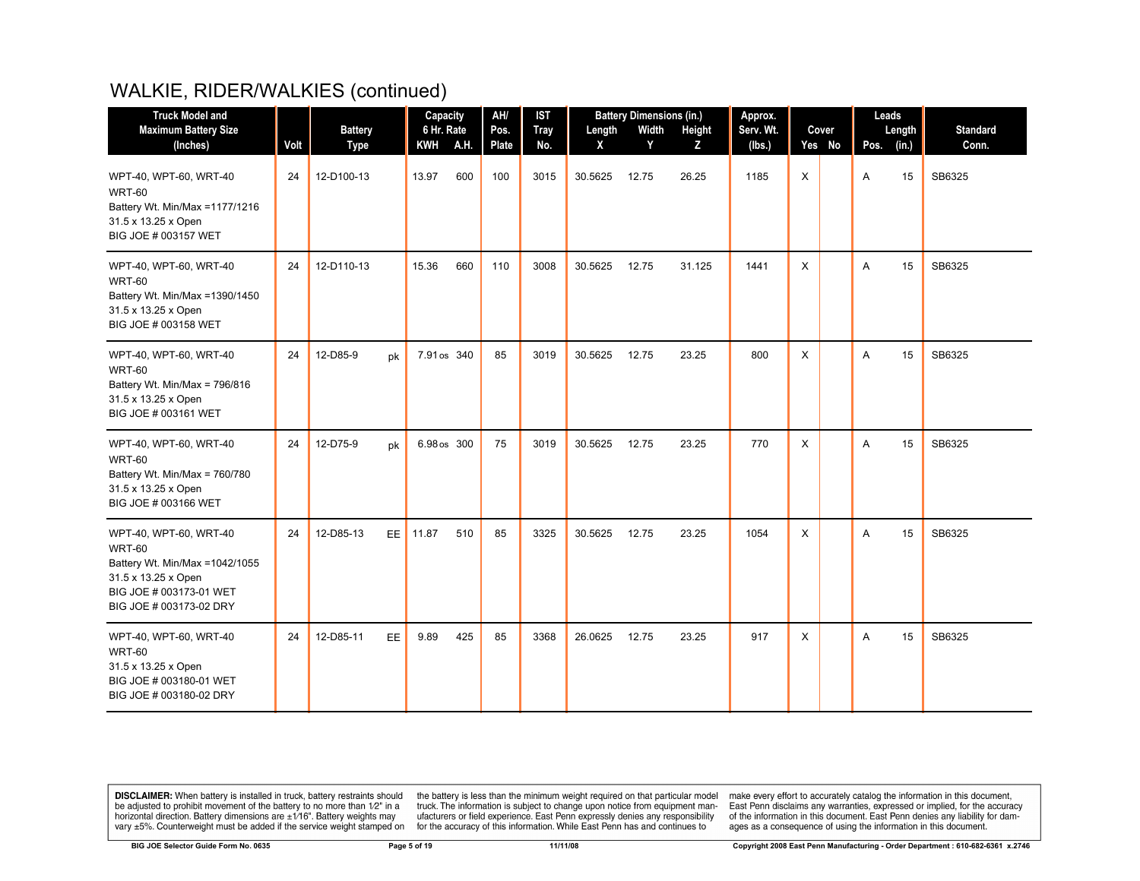| <b>Truck Model and</b>                                                                                                                           |      |                        |     | Capacity          |      | AH/                  | <b>IST</b>         |             | <b>Battery Dimensions (in.)</b> |             | Approx.             |          |                 | Leads |                 |                          |
|--------------------------------------------------------------------------------------------------------------------------------------------------|------|------------------------|-----|-------------------|------|----------------------|--------------------|-------------|---------------------------------|-------------|---------------------|----------|-----------------|-------|-----------------|--------------------------|
| <b>Maximum Battery Size</b><br>(Inches)                                                                                                          | Volt | <b>Battery</b><br>Type |     | 6 Hr. Rate<br>KWH | A.H. | Pos.<br><b>Plate</b> | <b>Tray</b><br>No. | Length<br>X | Width<br>Y                      | Height<br>Z | Serv. Wt.<br>(lbs.) |          | Cover<br>Yes No | Pos.  | Length<br>(in.) | <b>Standard</b><br>Conn. |
| WPT-40, WPT-60, WRT-40<br><b>WRT-60</b><br>Battery Wt. Min/Max = 1177/1216<br>31.5 x 13.25 x Open<br>BIG JOE # 003157 WET                        | 24   | 12-D100-13             |     | 13.97             | 600  | 100                  | 3015               | 30.5625     | 12.75                           | 26.25       | 1185                | X        |                 | Α     | 15              | SB6325                   |
| WPT-40, WPT-60, WRT-40<br><b>WRT-60</b><br>Battery Wt. Min/Max =1390/1450<br>31.5 x 13.25 x Open<br>BIG JOE # 003158 WET                         | 24   | 12-D110-13             |     | 15.36             | 660  | 110                  | 3008               | 30.5625     | 12.75                           | 31.125      | 1441                | $\times$ |                 | A     | 15              | SB6325                   |
| WPT-40, WPT-60, WRT-40<br><b>WRT-60</b><br>Battery Wt. Min/Max = 796/816<br>31.5 x 13.25 x Open<br>BIG JOE # 003161 WET                          | 24   | 12-D85-9               | pk  | 7.91 os 340       |      | 85                   | 3019               | 30.5625     | 12.75                           | 23.25       | 800                 | $\times$ |                 | A     | 15              | SB6325                   |
| WPT-40, WPT-60, WRT-40<br>WRT-60<br>Battery Wt. Min/Max = 760/780<br>31.5 x 13.25 x Open<br>BIG JOE # 003166 WET                                 | 24   | 12-D75-9               | pk  | 6.98 os 300       |      | 75                   | 3019               | 30.5625     | 12.75                           | 23.25       | 770                 | $\times$ |                 | A     | 15              | SB6325                   |
| WPT-40, WPT-60, WRT-40<br>WRT-60<br>Battery Wt. Min/Max = 1042/1055<br>31.5 x 13.25 x Open<br>BIG JOE # 003173-01 WET<br>BIG JOE # 003173-02 DRY | 24   | 12-D85-13              | EE. | 11.87             | 510  | 85                   | 3325               | 30.5625     | 12.75                           | 23.25       | 1054                | X        |                 | A     | 15              | SB6325                   |
| WPT-40, WPT-60, WRT-40<br><b>WRT-60</b><br>31.5 x 13.25 x Open<br>BIG JOE # 003180-01 WET<br>BIG JOE # 003180-02 DRY                             | 24   | 12-D85-11              | EE. | 9.89              | 425  | 85                   | 3368               | 26.0625     | 12.75                           | 23.25       | 917                 | X        |                 | A     | 15              | SB6325                   |

**DISCLAIMER:** When battery is installed in truck, battery restraints should be adjusted to prohibit movement of the battery to no more than  $12^v$  in a horizontal direction. Battery dimensions are  $\pm 1/16^v$ . Battery wei

the battery is less than the minimum weight required on that particular model<br>truck. The information is subject to change upon notice from equipment man-<br>ufacturers or field experience. East Penn expressly denies any respo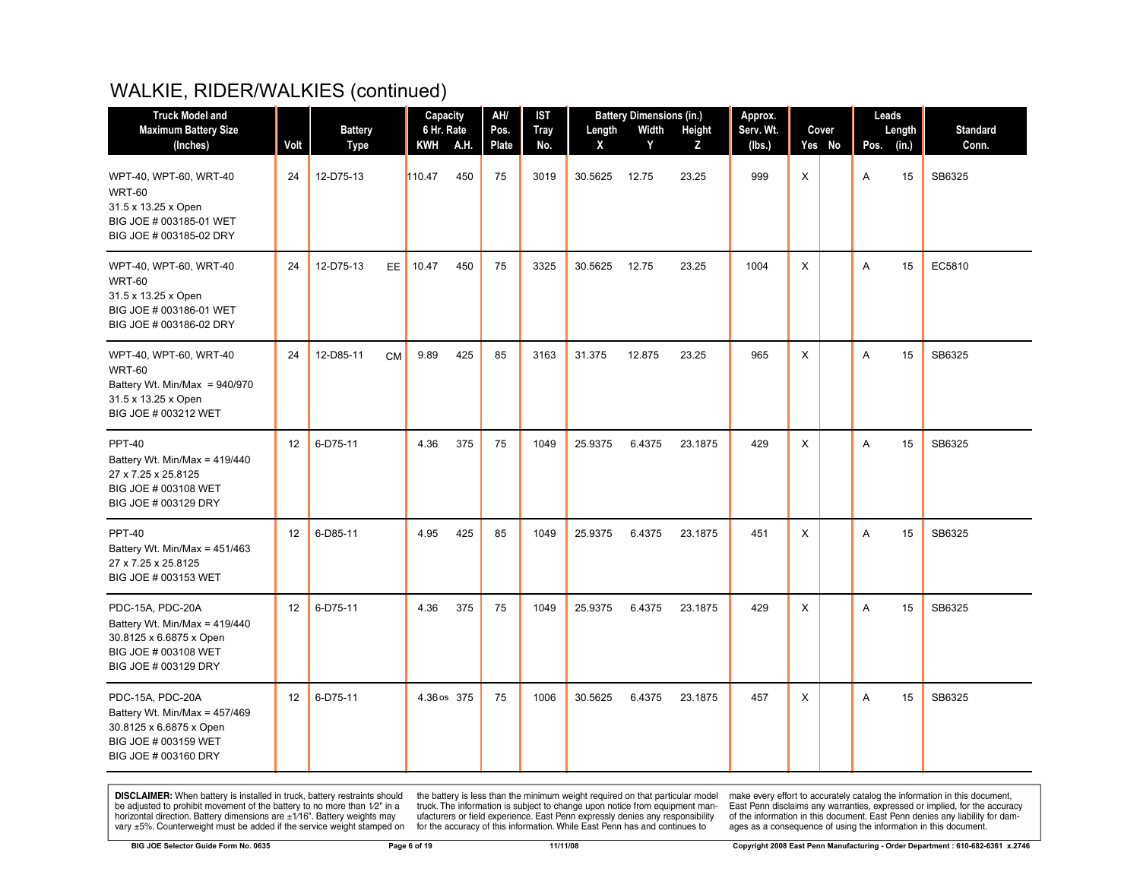| <b>Truck Model and</b><br><b>Maximum Battery Size</b><br>(Inches)                                                              | Volt | <b>Battery</b><br>Type | 6 Hr. Rate | Capacity<br>KWH A.H. | AH/<br>Pos.<br>Plate | <b>IST</b><br><b>Tray</b><br>No. | Length<br>X | <b>Battery Dimensions (in.)</b><br>Width<br>Y | Height<br>Z | Approx.<br>Serv. Wt.<br>(Ibs.) |          | Cover<br>Yes No | Leads<br>Pos. | Length<br>(in.) | <b>Standard</b><br>Conn. |
|--------------------------------------------------------------------------------------------------------------------------------|------|------------------------|------------|----------------------|----------------------|----------------------------------|-------------|-----------------------------------------------|-------------|--------------------------------|----------|-----------------|---------------|-----------------|--------------------------|
| WPT-40, WPT-60, WRT-40<br>WRT-60<br>31.5 x 13.25 x Open<br>BIG JOE # 003185-01 WET<br>BIG JOE # 003185-02 DRY                  | 24   | 12-D75-13              | 110.47     | 450                  | 75                   | 3019                             | 30.5625     | 12.75                                         | 23.25       | 999                            | X        |                 | A             | 15              | SB6325                   |
| WPT-40, WPT-60, WRT-40<br><b>WRT-60</b><br>31.5 x 13.25 x Open<br>BIG JOE # 003186-01 WET<br>BIG JOE # 003186-02 DRY           | 24   | 12-D75-13<br>EE.       | 10.47      | 450                  | 75                   | 3325                             | 30.5625     | 12.75                                         | 23.25       | 1004                           | X        |                 | A             | 15              | EC5810                   |
| WPT-40, WPT-60, WRT-40<br><b>WRT-60</b><br>Battery Wt. Min/Max = $940/970$<br>31.5 x 13.25 x Open<br>BIG JOE # 003212 WET      | 24   | 12-D85-11<br><b>CM</b> | 9.89       | 425                  | 85                   | 3163                             | 31.375      | 12.875                                        | 23.25       | 965                            | X        |                 | A             | 15              | SB6325                   |
| <b>PPT-40</b><br>Battery Wt. Min/Max = $419/440$<br>27 x 7.25 x 25.8125<br>BIG JOE # 003108 WET<br>BIG JOE # 003129 DRY        | 12   | 6-D75-11               | 4.36       | 375                  | 75                   | 1049                             | 25.9375     | 6.4375                                        | 23.1875     | 429                            | X        |                 | A             | 15              | SB6325                   |
| <b>PPT-40</b><br>Battery Wt. Min/Max = $451/463$<br>27 x 7.25 x 25.8125<br>BIG JOE # 003153 WET                                | 12   | 6-D85-11               | 4.95       | 425                  | 85                   | 1049                             | 25.9375     | 6.4375                                        | 23.1875     | 451                            | $\times$ |                 | A             | 15              | SB6325                   |
| PDC-15A, PDC-20A<br>Battery Wt. Min/Max = $419/440$<br>30.8125 x 6.6875 x Open<br>BIG JOE # 003108 WET<br>BIG JOE # 003129 DRY | 12   | 6-D75-11               | 4.36       | 375                  | 75                   | 1049                             | 25.9375     | 6.4375                                        | 23.1875     | 429                            | X        |                 | A             | 15              | SB6325                   |
| PDC-15A, PDC-20A<br>Battery Wt. Min/Max = 457/469<br>30.8125 x 6.6875 x Open<br>BIG JOE # 003159 WET<br>BIG JOE # 003160 DRY   | 12   | 6-D75-11               |            | 4.36 os 375          | 75                   | 1006                             | 30.5625     | 6.4375                                        | 23.1875     | 457                            | X        |                 | A             | 15              | SB6325                   |

**DISCLAIMER:** When battery is installed in truck, battery restraints should be adjusted to prohibit movement of the battery to no more than  $12^v$  in a horizontal direction. Battery dimensions are  $\pm 1/16^v$ . Battery wei

the battery is less than the minimum weight required on that particular model<br>truck. The information is subject to change upon notice from equipment man-<br>ufacturers or field experience. East Penn expressly denies any respo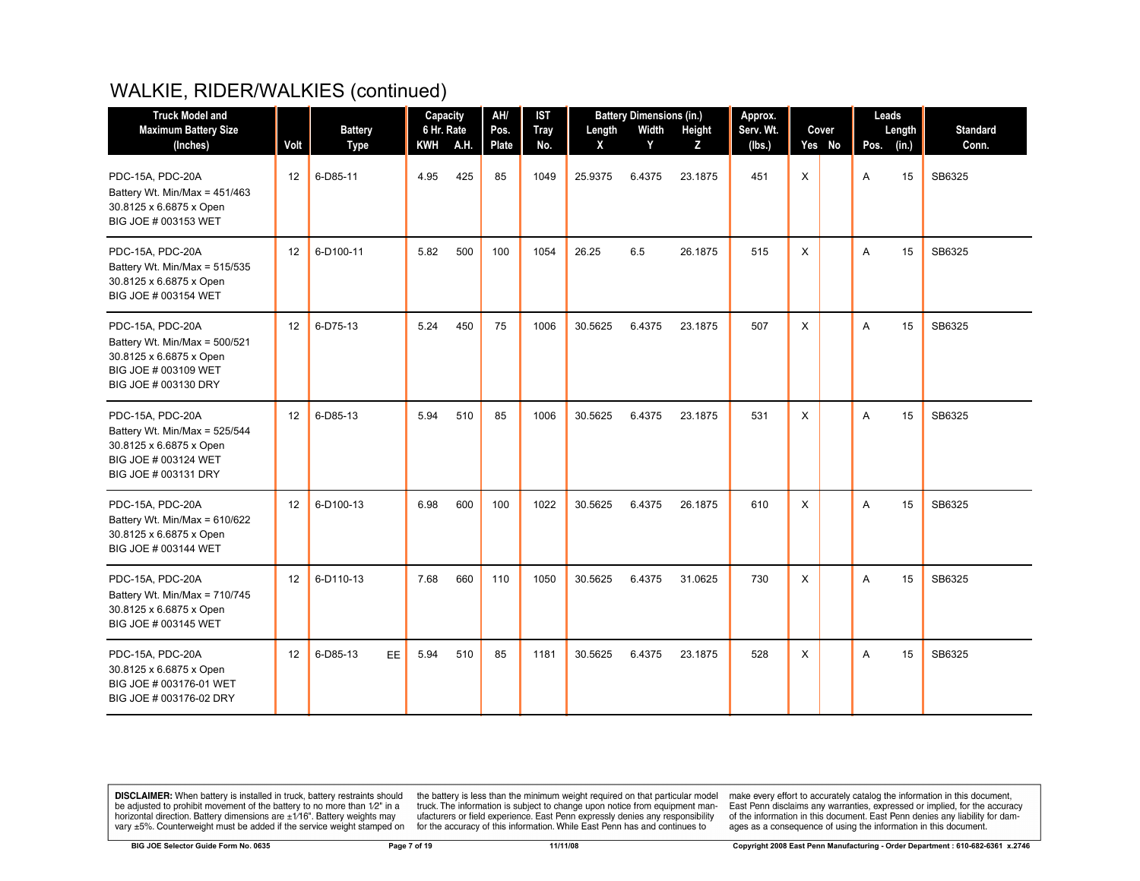| <b>Truck Model and</b>                                                                                                       |      |                         | Capacity          |      | AH/           | <b>IST</b>         |             | <b>Battery Dimensions (in.)</b> |             | Approx.       |              |                 | Leads     |             |                          |
|------------------------------------------------------------------------------------------------------------------------------|------|-------------------------|-------------------|------|---------------|--------------------|-------------|---------------------------------|-------------|---------------|--------------|-----------------|-----------|-------------|--------------------------|
| <b>Maximum Battery Size</b>                                                                                                  | Volt | <b>Battery</b>          | 6 Hr. Rate<br>KWH | A.H. | Pos.<br>Plate | <b>Tray</b><br>No. | Length<br>X | Width<br>Y                      | Height<br>z | Serv. Wt.     |              | Cover<br>Yes No |           | Length      | <b>Standard</b><br>Conn. |
| (Inches)<br>PDC-15A, PDC-20A<br>Battery Wt. Min/Max = 451/463<br>30.8125 x 6.6875 x Open<br>BIG JOE # 003153 WET             | 12   | <b>Type</b><br>6-D85-11 | 4.95              | 425  | 85            | 1049               | 25.9375     | 6.4375                          | 23.1875     | (Ibs.)<br>451 | $\mathsf{X}$ |                 | Pos.<br>A | (in.)<br>15 | SB6325                   |
| PDC-15A, PDC-20A<br>Battery Wt. Min/Max = 515/535<br>30.8125 x 6.6875 x Open<br>BIG JOE # 003154 WET                         | 12   | 6-D100-11               | 5.82              | 500  | 100           | 1054               | 26.25       | 6.5                             | 26.1875     | 515           | X            |                 | A         | 15          | SB6325                   |
| PDC-15A, PDC-20A<br>Battery Wt. Min/Max = 500/521<br>30.8125 x 6.6875 x Open<br>BIG JOE # 003109 WET<br>BIG JOE # 003130 DRY | 12   | 6-D75-13                | 5.24              | 450  | 75            | 1006               | 30.5625     | 6.4375                          | 23.1875     | 507           | X            |                 | A         | 15          | SB6325                   |
| PDC-15A, PDC-20A<br>Battery Wt. Min/Max = 525/544<br>30.8125 x 6.6875 x Open<br>BIG JOE # 003124 WET<br>BIG JOE # 003131 DRY | 12   | 6-D85-13                | 5.94              | 510  | 85            | 1006               | 30.5625     | 6.4375                          | 23.1875     | 531           | X            |                 | A         | 15          | SB6325                   |
| PDC-15A, PDC-20A<br>Battery Wt. Min/Max = 610/622<br>30.8125 x 6.6875 x Open<br>BIG JOE # 003144 WET                         | 12   | 6-D100-13               | 6.98              | 600  | 100           | 1022               | 30.5625     | 6.4375                          | 26.1875     | 610           | X            |                 | A         | 15          | SB6325                   |
| PDC-15A, PDC-20A<br>Battery Wt. Min/Max = 710/745<br>30.8125 x 6.6875 x Open<br>BIG JOE # 003145 WET                         | 12   | 6-D110-13               | 7.68              | 660  | 110           | 1050               | 30.5625     | 6.4375                          | 31.0625     | 730           | X            |                 | A         | 15          | SB6325                   |
| PDC-15A, PDC-20A<br>30.8125 x 6.6875 x Open<br>BIG JOE # 003176-01 WET<br>BIG JOE # 003176-02 DRY                            | 12   | 6-D85-13<br>EE.         | 5.94              | 510  | 85            | 1181               | 30.5625     | 6.4375                          | 23.1875     | 528           | X            |                 | A         | 15          | SB6325                   |

**DISCLAIMER:** When battery is installed in truck, battery restraints should be adjusted to prohibit movement of the battery to no more than  $12^v$  in a horizontal direction. Battery dimensions are  $\pm 1/16^v$ . Battery wei

the battery is less than the minimum weight required on that particular model<br>truck. The information is subject to change upon notice from equipment man-<br>ufacturers or field experience. East Penn expressly denies any respo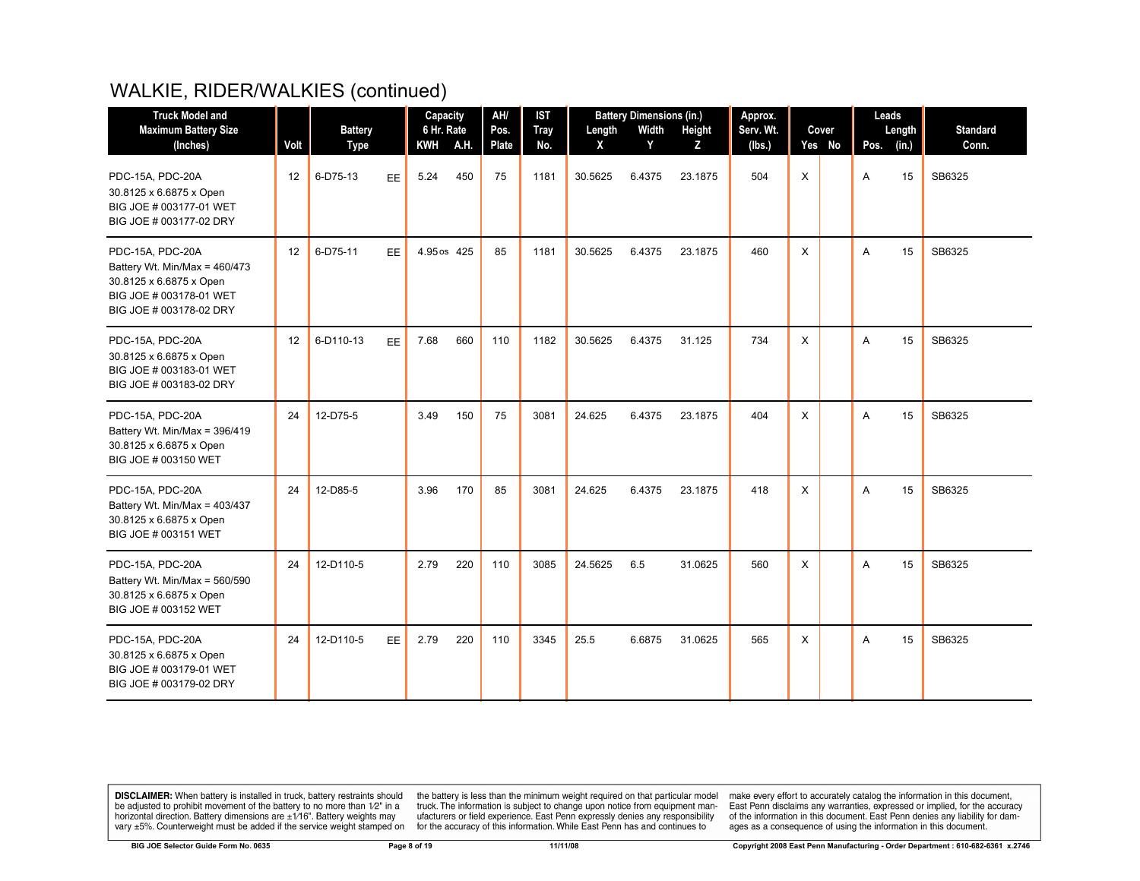| <b>Truck Model and</b>                                                                                                             |      |                         |           | Capacity                 |      | AH/                | <b>IST</b>         |             | <b>Battery Dimensions (in.)</b> |              | Approx.       |          |                 | Leads     |             |                          |
|------------------------------------------------------------------------------------------------------------------------------------|------|-------------------------|-----------|--------------------------|------|--------------------|--------------------|-------------|---------------------------------|--------------|---------------|----------|-----------------|-----------|-------------|--------------------------|
| <b>Maximum Battery Size</b>                                                                                                        | Volt | <b>Battery</b>          |           | 6 Hr. Rate<br><b>KWH</b> | A.H. | Pos.               | <b>Tray</b><br>No. | Length<br>X | Width<br>Y                      | Height       | Serv. Wt.     |          | Cover<br>Yes No |           | Length      | <b>Standard</b><br>Conn. |
| (Inches)<br>PDC-15A, PDC-20A<br>30.8125 x 6.6875 x Open<br>BIG JOE # 003177-01 WET<br>BIG JOE # 003177-02 DRY                      | 12   | <b>Type</b><br>6-D75-13 | <b>EE</b> | 5.24                     | 450  | <b>Plate</b><br>75 | 1181               | 30.5625     | 6.4375                          | z<br>23.1875 | (Ibs.)<br>504 | X        |                 | Pos.<br>A | (in.)<br>15 | SB6325                   |
| PDC-15A, PDC-20A<br>Battery Wt. Min/Max = 460/473<br>30.8125 x 6.6875 x Open<br>BIG JOE # 003178-01 WET<br>BIG JOE # 003178-02 DRY | 12   | 6-D75-11                | <b>EE</b> | 4.95 os 425              |      | 85                 | 1181               | 30.5625     | 6.4375                          | 23.1875      | 460           | X        |                 | A         | 15          | SB6325                   |
| PDC-15A, PDC-20A<br>30.8125 x 6.6875 x Open<br>BIG JOE # 003183-01 WET<br>BIG JOE # 003183-02 DRY                                  | 12   | 6-D110-13               | <b>EE</b> | 7.68                     | 660  | 110                | 1182               | 30.5625     | 6.4375                          | 31.125       | 734           | X        |                 | A         | 15          | SB6325                   |
| PDC-15A, PDC-20A<br>Battery Wt. Min/Max = 396/419<br>30.8125 x 6.6875 x Open<br>BIG JOE # 003150 WET                               | 24   | 12-D75-5                |           | 3.49                     | 150  | 75                 | 3081               | 24.625      | 6.4375                          | 23.1875      | 404           | X        |                 | A         | 15          | SB6325                   |
| PDC-15A, PDC-20A<br>Battery Wt. Min/Max = 403/437<br>30.8125 x 6.6875 x Open<br>BIG JOE # 003151 WET                               | 24   | 12-D85-5                |           | 3.96                     | 170  | 85                 | 3081               | 24.625      | 6.4375                          | 23.1875      | 418           | X        |                 | A         | 15          | SB6325                   |
| PDC-15A, PDC-20A<br>Battery Wt. Min/Max = 560/590<br>30.8125 x 6.6875 x Open<br>BIG JOE # 003152 WET                               | 24   | 12-D110-5               |           | 2.79                     | 220  | 110                | 3085               | 24.5625     | 6.5                             | 31.0625      | 560           | $\times$ |                 | A         | 15          | SB6325                   |
| PDC-15A, PDC-20A<br>30.8125 x 6.6875 x Open<br>BIG JOE # 003179-01 WET<br>BIG JOE # 003179-02 DRY                                  | 24   | 12-D110-5               | <b>EE</b> | 2.79                     | 220  | 110                | 3345               | 25.5        | 6.6875                          | 31.0625      | 565           | X        |                 | A         | 15          | SB6325                   |

**DISCLAIMER:** When battery is installed in truck, battery restraints should be adjusted to prohibit movement of the battery to no more than  $1/2$ " in a horizontal direction. Battery dimensions are  $\pm 1/16$ ". Battery weig

the battery is less than the minimum weight required on that particular model<br>truck. The information is subject to change upon notice from equipment man-<br>ufacturers or field experience. East Penn expressly denies any respo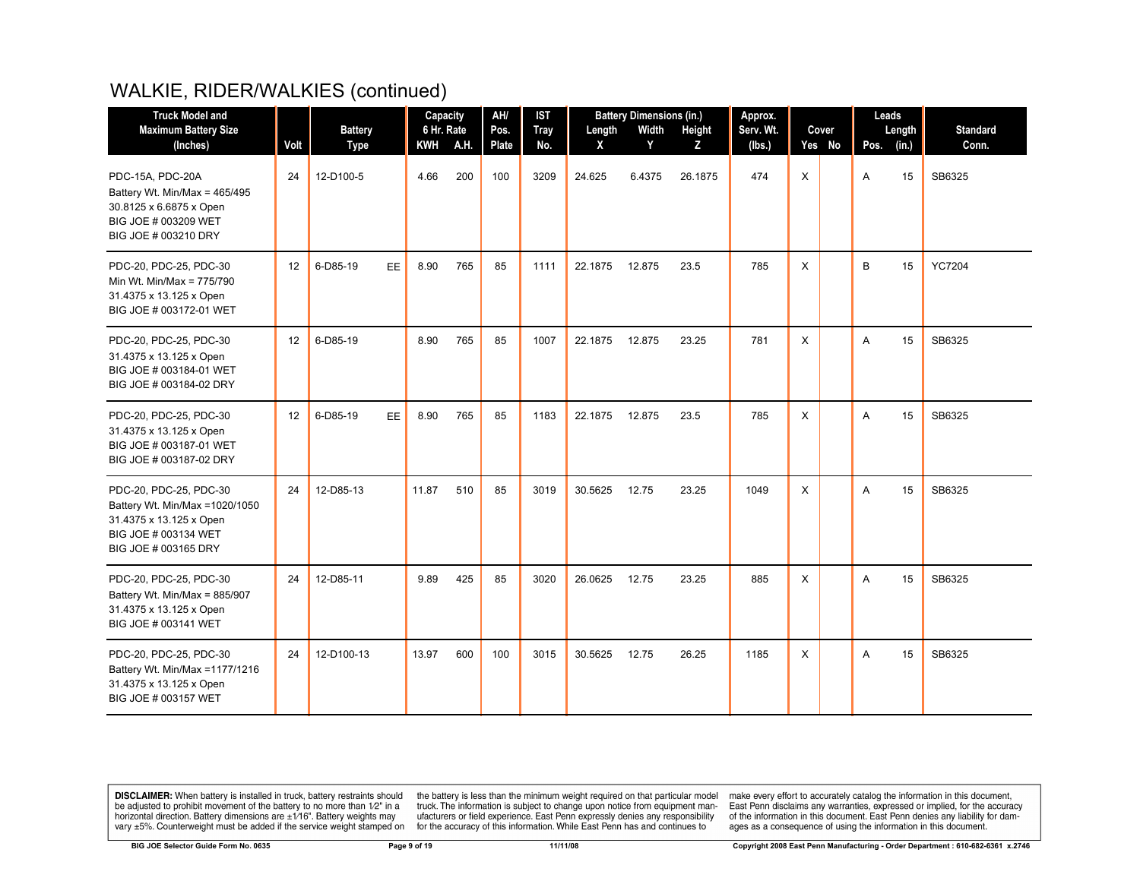| <b>Truck Model and</b>                                                                                                               |                   |                               | Capacity   |          | AH/           | <b>IST</b>         |             | <b>Battery Dimensions (in.)</b> |             | Approx.             |              |                 |      | Leads           |                          |
|--------------------------------------------------------------------------------------------------------------------------------------|-------------------|-------------------------------|------------|----------|---------------|--------------------|-------------|---------------------------------|-------------|---------------------|--------------|-----------------|------|-----------------|--------------------------|
| <b>Maximum Battery Size</b><br>(Inches)                                                                                              | Volt              | <b>Battery</b><br><b>Type</b> | 6 Hr. Rate | KWH A.H. | Pos.<br>Plate | <b>Tray</b><br>No. | Length<br>X | Width<br>Y                      | Height<br>Z | Serv. Wt.<br>(Ibs.) |              | Cover<br>Yes No | Pos. | Length<br>(in.) | <b>Standard</b><br>Conn. |
| PDC-15A, PDC-20A<br>Battery Wt. Min/Max = 465/495<br>30.8125 x 6.6875 x Open<br>BIG JOE # 003209 WET<br>BIG JOE # 003210 DRY         | 24                | 12-D100-5                     | 4.66       | 200      | 100           | 3209               | 24.625      | 6.4375                          | 26.1875     | 474                 | $\mathsf{X}$ |                 | A    | 15              | SB6325                   |
| PDC-20, PDC-25, PDC-30<br>Min Wt. Min/Max = 775/790<br>31.4375 x 13.125 x Open<br>BIG JOE # 003172-01 WET                            | $12 \overline{ }$ | 6-D85-19<br>EE.               | 8.90       | 765      | 85            | 1111               | 22.1875     | 12.875                          | 23.5        | 785                 | $\mathsf{X}$ |                 | B    | 15              | <b>YC7204</b>            |
| PDC-20, PDC-25, PDC-30<br>31.4375 x 13.125 x Open<br>BIG JOE # 003184-01 WET<br>BIG JOE # 003184-02 DRY                              | 12                | 6-D85-19                      | 8.90       | 765      | 85            | 1007               | 22.1875     | 12.875                          | 23.25       | 781                 | X            |                 | A    | 15              | SB6325                   |
| PDC-20, PDC-25, PDC-30<br>31.4375 x 13.125 x Open<br>BIG JOE # 003187-01 WET<br>BIG JOE # 003187-02 DRY                              | 12                | 6-D85-19<br>EE.               | 8.90       | 765      | 85            | 1183               | 22.1875     | 12.875                          | 23.5        | 785                 | X            |                 | A    | 15              | SB6325                   |
| PDC-20, PDC-25, PDC-30<br>Battery Wt. Min/Max = 1020/1050<br>31.4375 x 13.125 x Open<br>BIG JOE # 003134 WET<br>BIG JOE # 003165 DRY | 24                | 12-D85-13                     | 11.87      | 510      | 85            | 3019               | 30.5625     | 12.75                           | 23.25       | 1049                | X            |                 | A    | 15              | SB6325                   |
| PDC-20, PDC-25, PDC-30<br>Battery Wt. Min/Max = 885/907<br>31.4375 x 13.125 x Open<br>BIG JOE # 003141 WET                           | 24                | 12-D85-11                     | 9.89       | 425      | 85            | 3020               | 26.0625     | 12.75                           | 23.25       | 885                 | X            |                 | A    | 15              | SB6325                   |
| PDC-20, PDC-25, PDC-30<br>Battery Wt. Min/Max = 1177/1216<br>31.4375 x 13.125 x Open<br>BIG JOE # 003157 WET                         | 24                | 12-D100-13                    | 13.97      | 600      | 100           | 3015               | 30.5625     | 12.75                           | 26.25       | 1185                | X            |                 | A    | 15              | SB6325                   |

**DISCLAIMER:** When battery is installed in truck, battery restraints should be adjusted to prohibit movement of the battery to no more than  $12^v$  in a horizontal direction. Battery dimensions are  $\pm 1/16^v$ . Battery wei

the battery is less than the minimum weight required on that particular model<br>truck. The information is subject to change upon notice from equipment man-<br>ufacturers or field experience. East Penn expressly denies any respo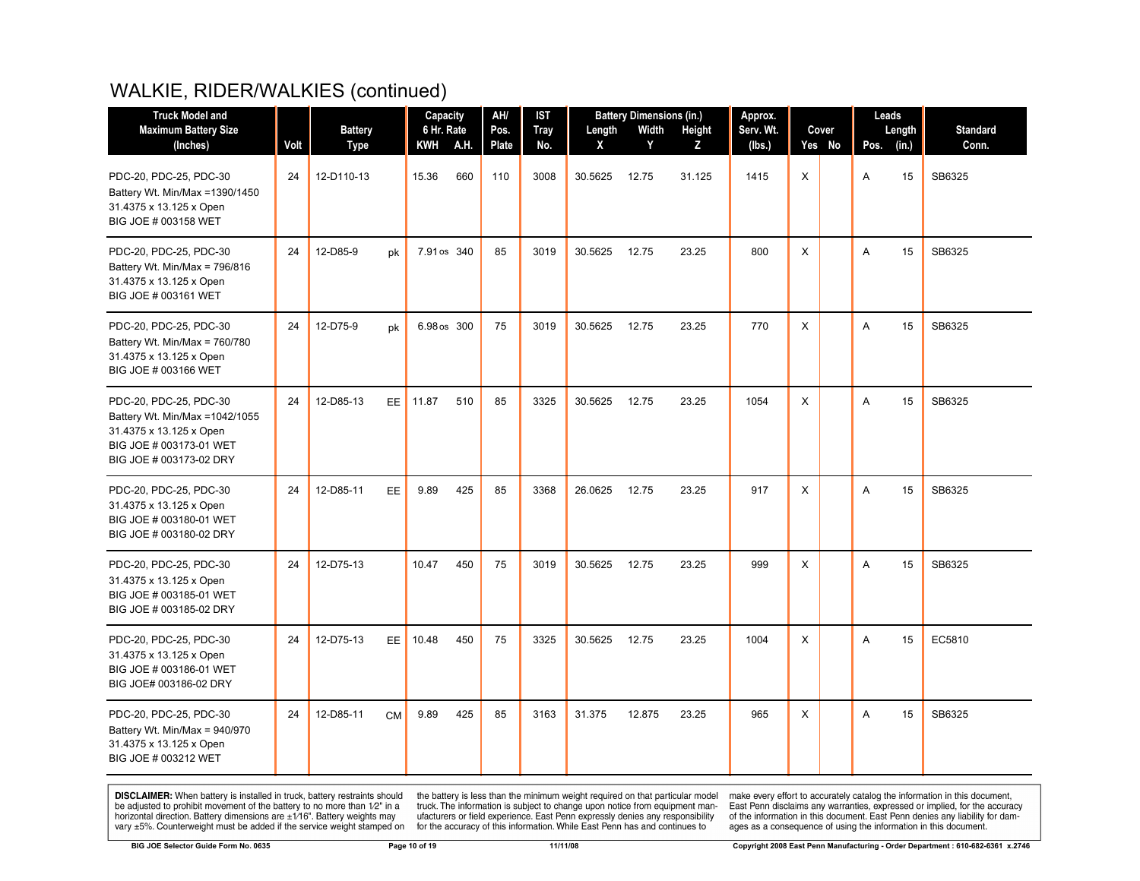| <b>Truck Model and</b><br><b>Maximum Battery Size</b><br>(Inches)                                                                          | Volt | <b>Battery</b><br><b>Type</b> |           | Capacity<br>6 Hr. Rate<br>KWH A.H. | AH/<br>Pos.<br>Plate | <b>IST</b><br><b>Tray</b><br>No. | Length<br>X | <b>Battery Dimensions (in.)</b><br>Width<br>Y | Height<br>Z | Approx.<br>Serv. Wt.<br>(Ibs.) |   | Cover<br>Yes No | Leads<br>Pos. (in.) | Length | <b>Standard</b><br>Conn. |
|--------------------------------------------------------------------------------------------------------------------------------------------|------|-------------------------------|-----------|------------------------------------|----------------------|----------------------------------|-------------|-----------------------------------------------|-------------|--------------------------------|---|-----------------|---------------------|--------|--------------------------|
| PDC-20, PDC-25, PDC-30<br>Battery Wt. Min/Max =1390/1450<br>31.4375 x 13.125 x Open<br>BIG JOE # 003158 WET                                | 24   | 12-D110-13                    |           | 15.36<br>660                       | 110                  | 3008                             | 30.5625     | 12.75                                         | 31.125      | 1415                           | X |                 | A                   | 15     | SB6325                   |
| PDC-20, PDC-25, PDC-30<br>Battery Wt. Min/Max = 796/816<br>31.4375 x 13.125 x Open<br>BIG JOE # 003161 WET                                 | 24   | 12-D85-9                      | pk        | 7.91 os 340                        | 85                   | 3019                             | 30.5625     | 12.75                                         | 23.25       | 800                            | X |                 | A                   | 15     | SB6325                   |
| PDC-20, PDC-25, PDC-30<br>Battery Wt. Min/Max = 760/780<br>31.4375 x 13.125 x Open<br>BIG JOE # 003166 WET                                 | 24   | 12-D75-9                      | pk        | 6.98 os 300                        | 75                   | 3019                             | 30.5625     | 12.75                                         | 23.25       | 770                            | X |                 | A                   | 15     | SB6325                   |
| PDC-20, PDC-25, PDC-30<br>Battery Wt. Min/Max = 1042/1055<br>31.4375 x 13.125 x Open<br>BIG JOE # 003173-01 WET<br>BIG JOE # 003173-02 DRY | 24   | 12-D85-13                     | EE.       | 11.87<br>510                       | 85                   | 3325                             | 30.5625     | 12.75                                         | 23.25       | 1054                           | Χ |                 | A                   | 15     | SB6325                   |
| PDC-20, PDC-25, PDC-30<br>31.4375 x 13.125 x Open<br>BIG JOE # 003180-01 WET<br>BIG JOE # 003180-02 DRY                                    | 24   | 12-D85-11                     | <b>EE</b> | 9.89<br>425                        | 85                   | 3368                             | 26.0625     | 12.75                                         | 23.25       | 917                            | X |                 | A                   | 15     | SB6325                   |
| PDC-20, PDC-25, PDC-30<br>31.4375 x 13.125 x Open<br>BIG JOE # 003185-01 WET<br>BIG JOE # 003185-02 DRY                                    | 24   | 12-D75-13                     |           | 10.47<br>450                       | 75                   | 3019                             | 30.5625     | 12.75                                         | 23.25       | 999                            | X |                 | A                   | 15     | SB6325                   |
| PDC-20, PDC-25, PDC-30<br>31.4375 x 13.125 x Open<br>BIG JOE # 003186-01 WET<br>BIG JOE# 003186-02 DRY                                     | 24   | 12-D75-13                     | EE.       | 10.48<br>450                       | 75                   | 3325                             | 30.5625     | 12.75                                         | 23.25       | 1004                           | X |                 | Α                   | 15     | EC5810                   |
| PDC-20, PDC-25, PDC-30<br>Battery Wt. Min/Max = 940/970<br>31.4375 x 13.125 x Open<br>BIG JOE # 003212 WET                                 | 24   | 12-D85-11<br><b>CM</b>        |           | 9.89<br>425                        | 85                   | 3163                             | 31.375      | 12.875                                        | 23.25       | 965                            | X |                 | A                   | 15     | SB6325                   |

**DISCLAIMER:** When battery is installed in truck, battery restraints should be adjusted to prohibit movement of the battery to no more than  $12^v$  in a horizontal direction. Battery dimensions are  $\pm 1/16^v$ . Battery wei

the battery is less than the minimum weight required on that particular model<br>truck. The information is subject to change upon notice from equipment man-<br>ufacturers or field experience. East Penn expressly denies any respo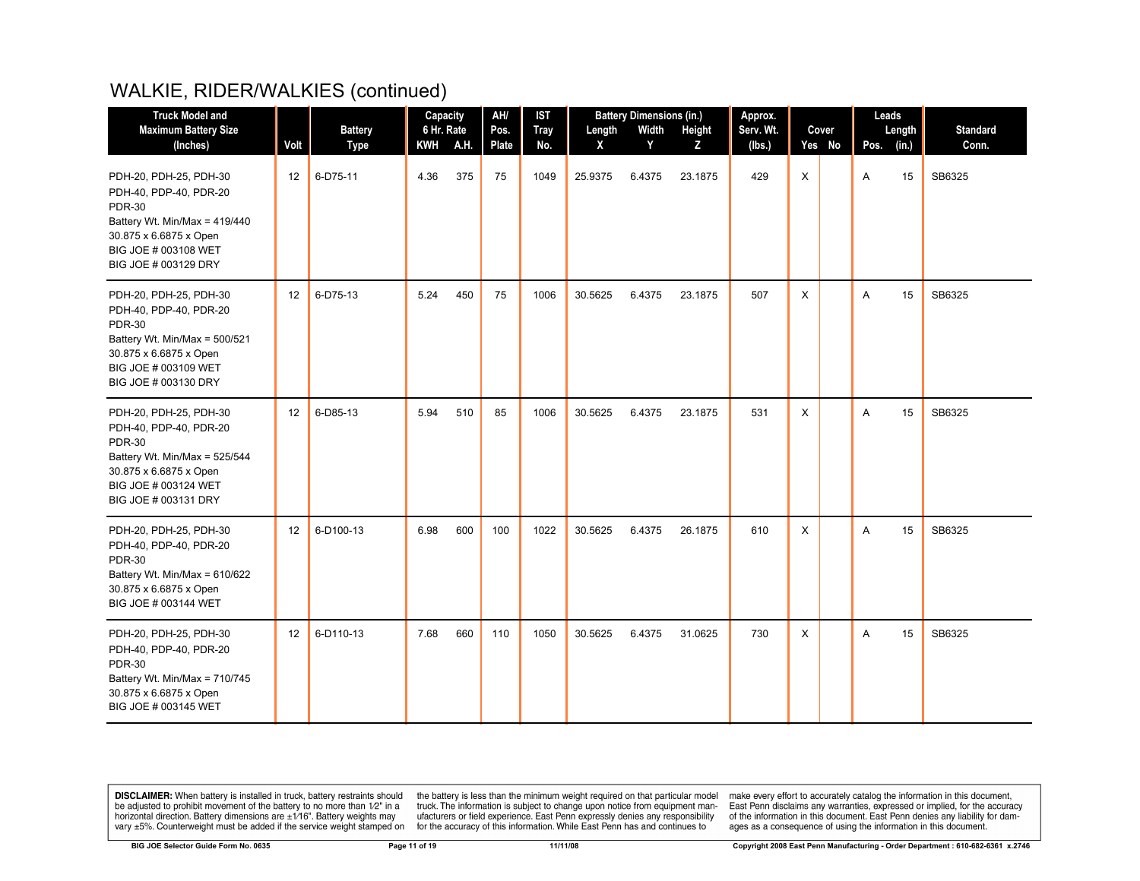| <b>Truck Model and</b>                                                                                                                                                       |      |                               | Capacity          |      | AH/           | <b>IST</b>         |             | <b>Battery Dimensions (in.)</b> |             | Approx.             |   |                 | Leads |                 |                          |
|------------------------------------------------------------------------------------------------------------------------------------------------------------------------------|------|-------------------------------|-------------------|------|---------------|--------------------|-------------|---------------------------------|-------------|---------------------|---|-----------------|-------|-----------------|--------------------------|
| <b>Maximum Battery Size</b><br>(Inches)                                                                                                                                      | Volt | <b>Battery</b><br><b>Type</b> | 6 Hr. Rate<br>KWH | A.H. | Pos.<br>Plate | <b>Tray</b><br>No. | Length<br>X | Width<br>Y                      | Height<br>Z | Serv. Wt.<br>(lbs.) |   | Cover<br>Yes No | Pos.  | Length<br>(in.) | <b>Standard</b><br>Conn. |
| PDH-20, PDH-25, PDH-30<br>PDH-40, PDP-40, PDR-20<br><b>PDR-30</b><br>Battery Wt. Min/Max = 419/440<br>30.875 x 6.6875 x Open                                                 | 12   | 6-D75-11                      | 4.36              | 375  | 75            | 1049               | 25.9375     | 6.4375                          | 23.1875     | 429                 | X |                 | Α     | 15              | SB6325                   |
| BIG JOE # 003108 WET<br>BIG JOE # 003129 DRY                                                                                                                                 |      |                               |                   |      |               |                    |             |                                 |             |                     |   |                 |       |                 |                          |
| PDH-20, PDH-25, PDH-30<br>PDH-40, PDP-40, PDR-20<br><b>PDR-30</b><br>Battery Wt. Min/Max = 500/521<br>30.875 x 6.6875 x Open<br>BIG JOE # 003109 WET<br>BIG JOE # 003130 DRY | 12   | 6-D75-13                      | 5.24              | 450  | 75            | 1006               | 30.5625     | 6.4375                          | 23.1875     | 507                 | X |                 | Α     | 15              | SB6325                   |
| PDH-20, PDH-25, PDH-30<br>PDH-40, PDP-40, PDR-20<br><b>PDR-30</b><br>Battery Wt. Min/Max = 525/544<br>30.875 x 6.6875 x Open<br>BIG JOE # 003124 WET<br>BIG JOE # 003131 DRY | 12   | 6-D85-13                      | 5.94              | 510  | 85            | 1006               | 30.5625     | 6.4375                          | 23.1875     | 531                 | X |                 | Α     | 15              | SB6325                   |
| PDH-20, PDH-25, PDH-30<br>PDH-40, PDP-40, PDR-20<br><b>PDR-30</b><br>Battery Wt. Min/Max = 610/622<br>30.875 x 6.6875 x Open<br>BIG JOE # 003144 WET                         | 12   | 6-D100-13                     | 6.98              | 600  | 100           | 1022               | 30.5625     | 6.4375                          | 26.1875     | 610                 | X |                 | Α     | 15              | SB6325                   |
| PDH-20, PDH-25, PDH-30<br>PDH-40, PDP-40, PDR-20<br><b>PDR-30</b><br>Battery Wt. Min/Max = 710/745<br>30.875 x 6.6875 x Open<br>BIG JOE # 003145 WET                         | 12   | 6-D110-13                     | 7.68              | 660  | 110           | 1050               | 30.5625     | 6.4375                          | 31.0625     | 730                 | X |                 | A     | 15              | SB6325                   |

**DISCLAIMER:** When battery is installed in truck, battery restraints should be adjusted to prohibit movement of the battery to no more than  $12^v$  in a horizontal direction. Battery dimensions are  $\pm 1/16^v$ . Battery wei

the battery is less than the minimum weight required on that particular model<br>truck. The information is subject to change upon notice from equipment man-<br>ufacturers or field experience. East Penn expressly denies any respo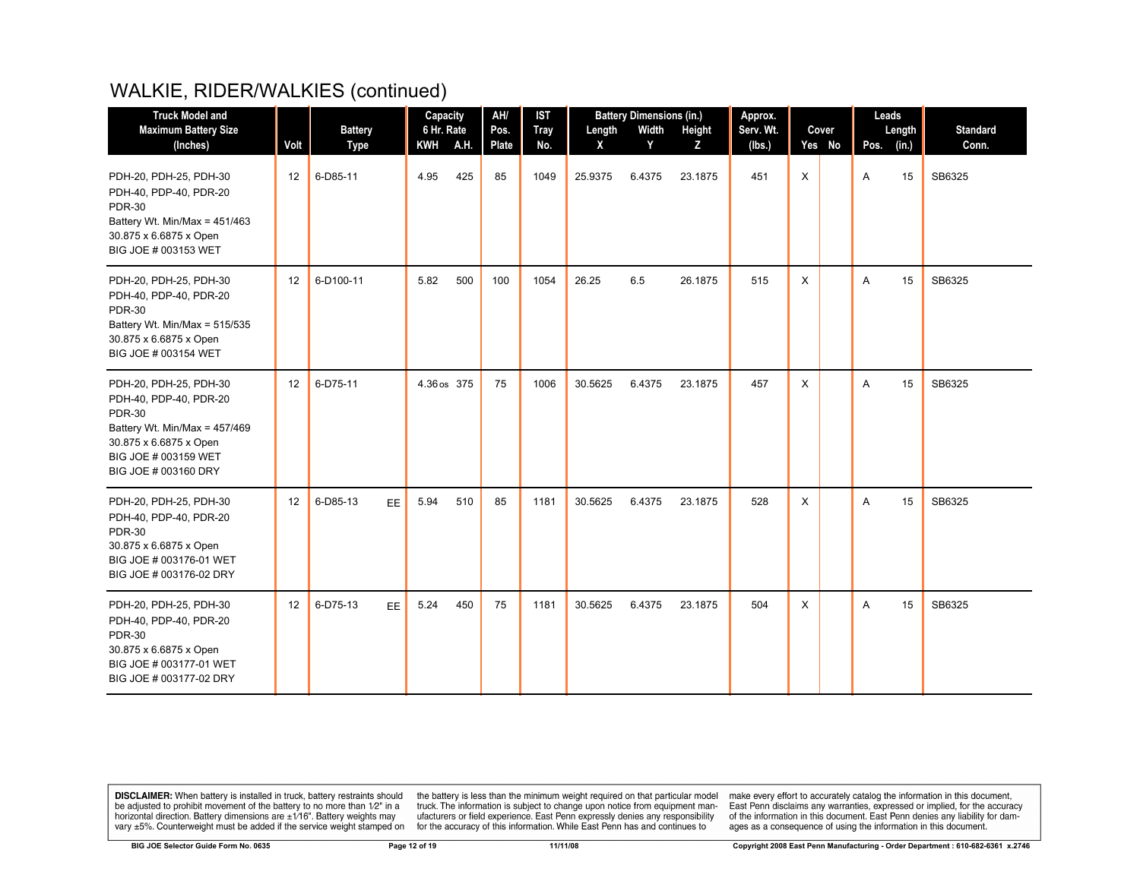| <b>Truck Model and</b>                                                                                                                                                       |      |                               | Capacity                 |      | AH/           | <b>IST</b>         |             | <b>Battery Dimensions (in.)</b> |             | Approx.             |          |                 | Leads |                 |                          |
|------------------------------------------------------------------------------------------------------------------------------------------------------------------------------|------|-------------------------------|--------------------------|------|---------------|--------------------|-------------|---------------------------------|-------------|---------------------|----------|-----------------|-------|-----------------|--------------------------|
| <b>Maximum Battery Size</b><br>(Inches)                                                                                                                                      | Volt | <b>Battery</b><br><b>Type</b> | 6 Hr. Rate<br><b>KWH</b> | A.H. | Pos.<br>Plate | <b>Tray</b><br>No. | Length<br>X | Width<br>Y                      | Height<br>Z | Serv. Wt.<br>(lbs.) |          | Cover<br>Yes No | Pos.  | Length<br>(in.) | <b>Standard</b><br>Conn. |
| PDH-20, PDH-25, PDH-30<br>PDH-40, PDP-40, PDR-20<br><b>PDR-30</b><br>Battery Wt. Min/Max = 451/463<br>30.875 x 6.6875 x Open<br>BIG JOE # 003153 WET                         | 12   | 6-D85-11                      | 4.95                     | 425  | 85            | 1049               | 25.9375     | 6.4375                          | 23.1875     | 451                 | X        |                 | A     | 15              | SB6325                   |
| PDH-20, PDH-25, PDH-30<br>PDH-40, PDP-40, PDR-20<br><b>PDR-30</b><br>Battery Wt. Min/Max = 515/535<br>30.875 x 6.6875 x Open<br>BIG JOE # 003154 WET                         | 12   | 6-D100-11                     | 5.82                     | 500  | 100           | 1054               | 26.25       | 6.5                             | 26.1875     | 515                 | X        |                 | A     | 15              | SB6325                   |
| PDH-20, PDH-25, PDH-30<br>PDH-40, PDP-40, PDR-20<br><b>PDR-30</b><br>Battery Wt. Min/Max = 457/469<br>30.875 x 6.6875 x Open<br>BIG JOE # 003159 WET<br>BIG JOE # 003160 DRY | 12   | 6-D75-11                      | 4.36 os 375              |      | 75            | 1006               | 30.5625     | 6.4375                          | 23.1875     | 457                 | X        |                 | A     | 15              | SB6325                   |
| PDH-20, PDH-25, PDH-30<br>PDH-40, PDP-40, PDR-20<br><b>PDR-30</b><br>30.875 x 6.6875 x Open<br>BIG JOE # 003176-01 WET<br>BIG JOE # 003176-02 DRY                            | 12   | 6-D85-13<br>EE                | 5.94                     | 510  | 85            | 1181               | 30.5625     | 6.4375                          | 23.1875     | 528                 | $\times$ |                 | A     | 15              | SB6325                   |
| PDH-20, PDH-25, PDH-30<br>PDH-40, PDP-40, PDR-20<br><b>PDR-30</b><br>30.875 x 6.6875 x Open<br>BIG JOE # 003177-01 WET<br>BIG JOE # 003177-02 DRY                            | 12   | 6-D75-13<br>EE.               | 5.24                     | 450  | 75            | 1181               | 30.5625     | 6.4375                          | 23.1875     | 504                 | X        |                 | A     | 15              | SB6325                   |

**DISCLAIMER:** When battery is installed in truck, battery restraints should be adjusted to prohibit movement of the battery to no more than  $12^v$  in a horizontal direction. Battery dimensions are  $\pm 1/16^v$ . Battery wei

the battery is less than the minimum weight required on that particular model<br>truck. The information is subject to change upon notice from equipment man-<br>ufacturers or field experience. East Penn expressly denies any respo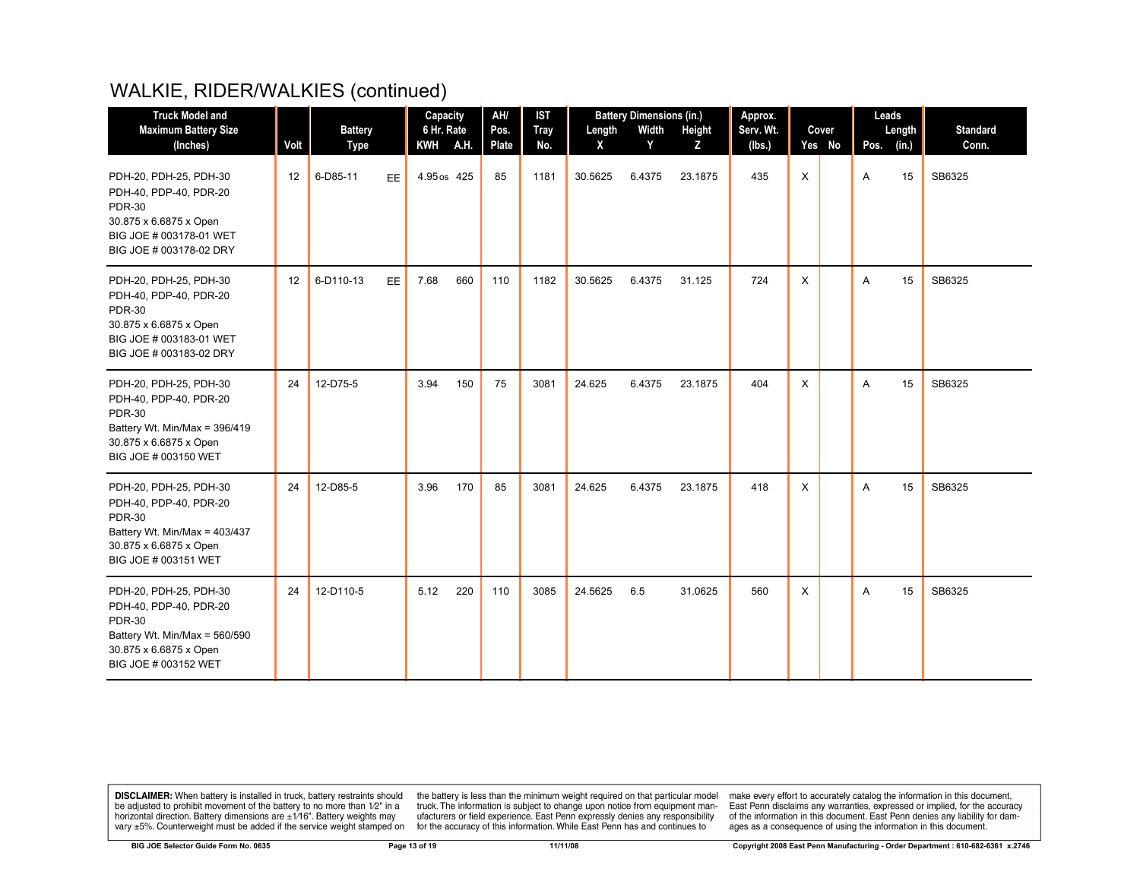| <b>Truck Model and</b>                                                                                                                               |      | Capacity                      | AH/                    | <b>IST</b>    | <b>Battery Dimensions (in.)</b> |                        |            | Approx.     |                     |              |                 | Leads |                 |                          |
|------------------------------------------------------------------------------------------------------------------------------------------------------|------|-------------------------------|------------------------|---------------|---------------------------------|------------------------|------------|-------------|---------------------|--------------|-----------------|-------|-----------------|--------------------------|
| <b>Maximum Battery Size</b><br>(Inches)                                                                                                              | Volt | <b>Battery</b><br><b>Type</b> | 6 Hr. Rate<br>KWH A.H. | Pos.<br>Plate | <b>Tray</b><br>No.              | Length<br>$\mathsf{X}$ | Width<br>Y | Height<br>z | Serv. Wt.<br>(lbs.) |              | Cover<br>Yes No | Pos.  | Length<br>(in.) | <b>Standard</b><br>Conn. |
| PDH-20, PDH-25, PDH-30<br>PDH-40, PDP-40, PDR-20<br><b>PDR-30</b><br>30.875 x 6.6875 x Open<br>BIG JOE # 003178-01 WET<br>BIG JOE # 003178-02 DRY    | 12   | 6-D85-11<br>EE                | 4.95 os 425            | 85            | 1181                            | 30.5625                | 6.4375     | 23.1875     | 435                 | $\mathsf{X}$ |                 | A     | 15              | SB6325                   |
| PDH-20, PDH-25, PDH-30<br>PDH-40, PDP-40, PDR-20<br><b>PDR-30</b><br>30.875 x 6.6875 x Open<br>BIG JOE # 003183-01 WET<br>BIG JOE # 003183-02 DRY    | 12   | 6-D110-13<br>EE.              | 660<br>7.68            | 110           | 1182                            | 30.5625                | 6.4375     | 31.125      | 724                 | X            |                 | A     | 15              | SB6325                   |
| PDH-20, PDH-25, PDH-30<br>PDH-40, PDP-40, PDR-20<br><b>PDR-30</b><br>Battery Wt. Min/Max = 396/419<br>30.875 x 6.6875 x Open<br>BIG JOE # 003150 WET | 24   | 12-D75-5                      | 150<br>3.94            | 75            | 3081                            | 24.625                 | 6.4375     | 23.1875     | 404                 | X            |                 | A     | 15              | SB6325                   |
| PDH-20, PDH-25, PDH-30<br>PDH-40, PDP-40, PDR-20<br><b>PDR-30</b><br>Battery Wt. Min/Max = 403/437<br>30.875 x 6.6875 x Open<br>BIG JOE # 003151 WET | 24   | 12-D85-5                      | 3.96<br>170            | 85            | 3081                            | 24.625                 | 6.4375     | 23.1875     | 418                 | X            |                 | A     | 15              | SB6325                   |
| PDH-20, PDH-25, PDH-30<br>PDH-40, PDP-40, PDR-20<br><b>PDR-30</b><br>Battery Wt. Min/Max = 560/590<br>30.875 x 6.6875 x Open<br>BIG JOE # 003152 WET | 24   | 12-D110-5                     | 5.12<br>220            | 110           | 3085                            | 24.5625                | 6.5        | 31.0625     | 560                 | X            |                 | A     | 15              | SB6325                   |

**DISCLAIMER:** When battery is installed in truck, battery restraints should be adjusted to prohibit movement of the battery to no more than  $12^v$  in a horizontal direction. Battery dimensions are  $\pm 1/16^v$ . Battery wei

the battery is less than the minimum weight required on that particular model<br>truck. The information is subject to change upon notice from equipment man-<br>ufacturers or field experience. East Penn expressly denies any respo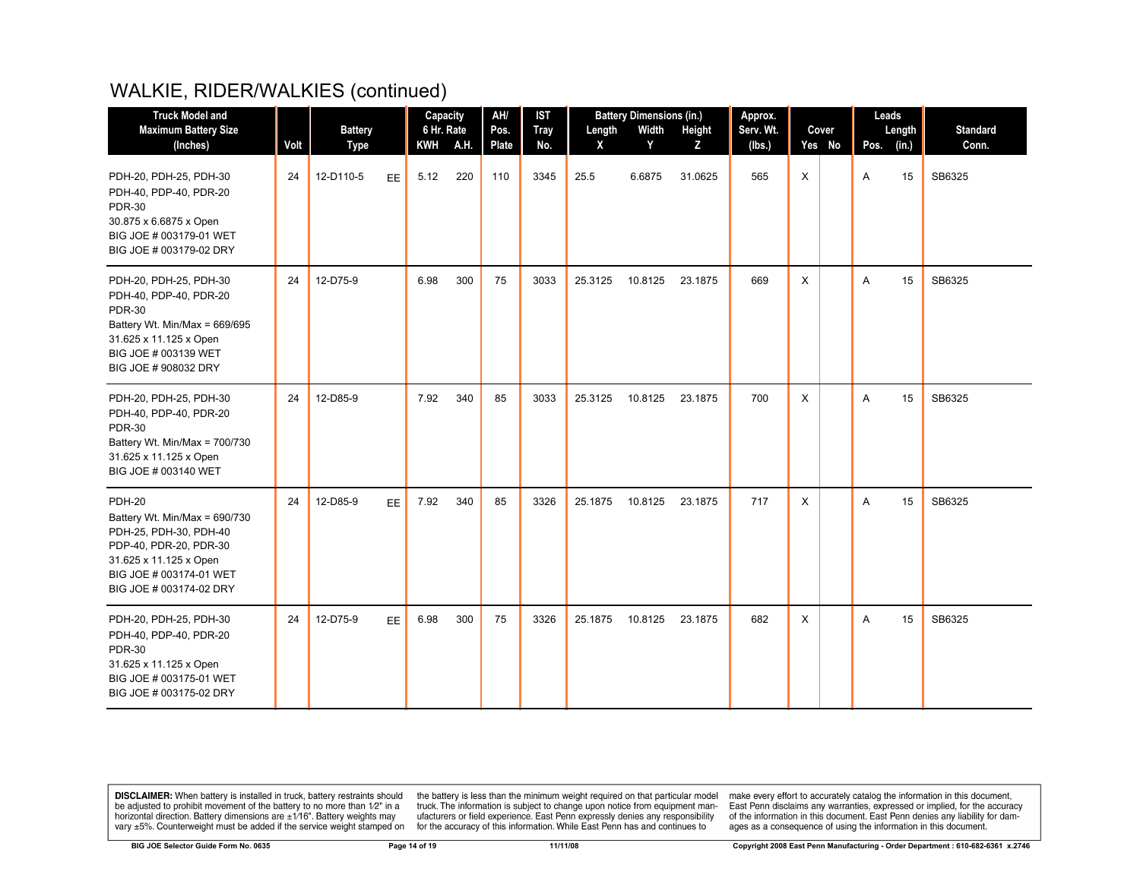| <b>Truck Model and</b>                                                                                                                                                             |      |                   |           | Capacity           |      | AH/                 | <b>IST</b>  | <b>Battery Dimensions (in.)</b> |            |              | Approx.       |          |        | Leads     |             |                          |
|------------------------------------------------------------------------------------------------------------------------------------------------------------------------------------|------|-------------------|-----------|--------------------|------|---------------------|-------------|---------------------------------|------------|--------------|---------------|----------|--------|-----------|-------------|--------------------------|
| <b>Maximum Battery Size</b>                                                                                                                                                        | Volt | <b>Battery</b>    |           | 6 Hr. Rate         | A.H. | Pos.                | <b>Tray</b> | Length                          | Width<br>Y | Height       | Serv. Wt.     |          | Cover  |           | Length      | <b>Standard</b><br>Conn. |
| (Inches)<br>PDH-20, PDH-25, PDH-30<br>PDH-40, PDP-40, PDR-20<br><b>PDR-30</b><br>30.875 x 6.6875 x Open<br>BIG JOE # 003179-01 WET<br>BIG JOE # 003179-02 DRY                      | 24   | Type<br>12-D110-5 | EE        | <b>KWH</b><br>5.12 | 220  | <b>Plate</b><br>110 | No.<br>3345 | X<br>25.5                       | 6.6875     | Z<br>31.0625 | (lbs.)<br>565 | X        | Yes No | Pos.<br>A | (in.)<br>15 | SB6325                   |
| PDH-20, PDH-25, PDH-30<br>PDH-40, PDP-40, PDR-20<br><b>PDR-30</b><br>Battery Wt. Min/Max = 669/695<br>31.625 x 11.125 x Open<br>BIG JOE # 003139 WET<br>BIG JOE # 908032 DRY       | 24   | 12-D75-9          |           | 6.98               | 300  | 75                  | 3033        | 25.3125                         | 10.8125    | 23.1875      | 669           | $\times$ |        | A         | 15          | SB6325                   |
| PDH-20, PDH-25, PDH-30<br>PDH-40, PDP-40, PDR-20<br><b>PDR-30</b><br>Battery Wt. Min/Max = 700/730<br>31.625 x 11.125 x Open<br>BIG JOE # 003140 WET                               | 24   | 12-D85-9          |           | 7.92               | 340  | 85                  | 3033        | 25.3125                         | 10.8125    | 23.1875      | 700           | X        |        | A         | 15          | SB6325                   |
| <b>PDH-20</b><br>Battery Wt. Min/Max = 690/730<br>PDH-25, PDH-30, PDH-40<br>PDP-40, PDR-20, PDR-30<br>31.625 x 11.125 x Open<br>BIG JOE # 003174-01 WET<br>BIG JOE # 003174-02 DRY | 24   | 12-D85-9          | EE.       | 7.92               | 340  | 85                  | 3326        | 25.1875                         | 10.8125    | 23.1875      | 717           | X        |        | A         | 15          | SB6325                   |
| PDH-20, PDH-25, PDH-30<br>PDH-40, PDP-40, PDR-20<br><b>PDR-30</b><br>31.625 x 11.125 x Open<br>BIG JOE # 003175-01 WET<br>BIG JOE # 003175-02 DRY                                  | 24   | 12-D75-9          | <b>EE</b> | 6.98               | 300  | 75                  | 3326        | 25.1875                         | 10.8125    | 23.1875      | 682           | X        |        | A         | 15          | SB6325                   |

**DISCLAIMER:** When battery is installed in truck, battery restraints should be adjusted to prohibit movement of the battery to no more than  $12^v$  in a horizontal direction. Battery dimensions are  $\pm 1/16^v$ . Battery wei

the battery is less than the minimum weight required on that particular model<br>truck. The information is subject to change upon notice from equipment man-<br>ufacturers or field experience. East Penn expressly denies any respo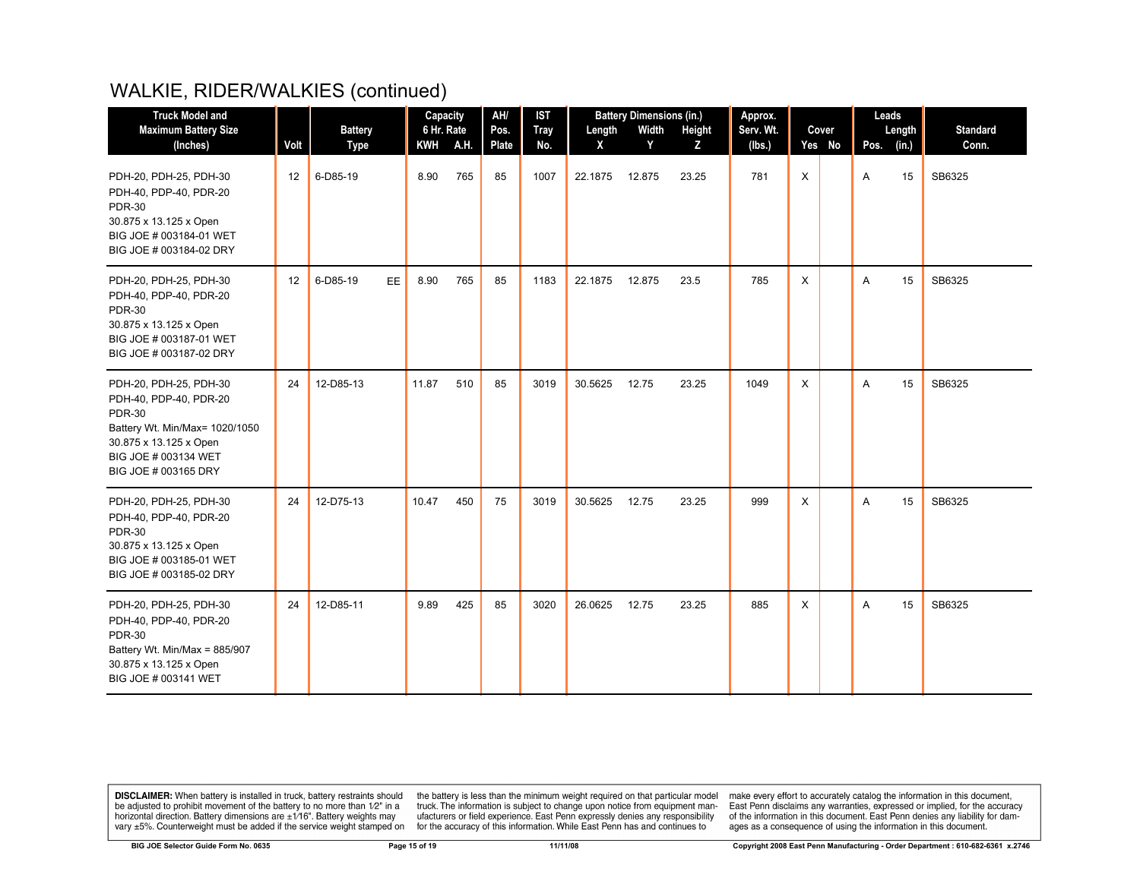| <b>Truck Model and</b>                                                                                                                                                        |                   | Capacity                |                   | AH/  | <b>IST</b>    | <b>Battery Dimensions (in.)</b> |             |            | Approx.     |                     |              | Leads           |      |                 |                          |
|-------------------------------------------------------------------------------------------------------------------------------------------------------------------------------|-------------------|-------------------------|-------------------|------|---------------|---------------------------------|-------------|------------|-------------|---------------------|--------------|-----------------|------|-----------------|--------------------------|
| <b>Maximum Battery Size</b><br>(Inches)                                                                                                                                       | Volt              | <b>Battery</b>          | 6 Hr. Rate<br>KWH | A.H. | Pos.<br>Plate | <b>Tray</b><br>No.              | Length<br>X | Width<br>Y | Height<br>Z | Serv. Wt.<br>(lbs.) |              | Cover<br>Yes No | Pos. | Length<br>(in.) | <b>Standard</b><br>Conn. |
| PDH-20, PDH-25, PDH-30<br>PDH-40, PDP-40, PDR-20<br><b>PDR-30</b><br>30.875 x 13.125 x Open<br>BIG JOE # 003184-01 WET<br>BIG JOE # 003184-02 DRY                             | $12 \overline{ }$ | <b>Type</b><br>6-D85-19 | 8.90              | 765  | 85            | 1007                            | 22.1875     | 12.875     | 23.25       | 781                 | $\mathsf{X}$ |                 | A    | 15              | SB6325                   |
| PDH-20, PDH-25, PDH-30<br>PDH-40, PDP-40, PDR-20<br><b>PDR-30</b><br>30.875 x 13.125 x Open<br>BIG JOE # 003187-01 WET<br>BIG JOE # 003187-02 DRY                             | 12                | 6-D85-19<br>EE.         | 8.90              | 765  | 85            | 1183                            | 22.1875     | 12.875     | 23.5        | 785                 | X            |                 | A    | 15              | SB6325                   |
| PDH-20, PDH-25, PDH-30<br>PDH-40, PDP-40, PDR-20<br><b>PDR-30</b><br>Battery Wt. Min/Max= 1020/1050<br>30.875 x 13.125 x Open<br>BIG JOE # 003134 WET<br>BIG JOE # 003165 DRY | 24                | 12-D85-13               | 11.87             | 510  | 85            | 3019                            | 30.5625     | 12.75      | 23.25       | 1049                | X            |                 | A    | 15              | SB6325                   |
| PDH-20, PDH-25, PDH-30<br>PDH-40, PDP-40, PDR-20<br><b>PDR-30</b><br>30.875 x 13.125 x Open<br>BIG JOE # 003185-01 WET<br>BIG JOE # 003185-02 DRY                             | 24                | 12-D75-13               | 10.47             | 450  | 75            | 3019                            | 30.5625     | 12.75      | 23.25       | 999                 | X            |                 | A    | 15              | SB6325                   |
| PDH-20, PDH-25, PDH-30<br>PDH-40, PDP-40, PDR-20<br><b>PDR-30</b><br>Battery Wt. Min/Max = 885/907<br>30.875 x 13.125 x Open<br>BIG JOE # 003141 WET                          | 24                | 12-D85-11               | 9.89              | 425  | 85            | 3020                            | 26.0625     | 12.75      | 23.25       | 885                 | X            |                 | A    | 15              | SB6325                   |

**DISCLAIMER:** When battery is installed in truck, battery restraints should be adjusted to prohibit movement of the battery to no more than  $12^v$  in a horizontal direction. Battery dimensions are  $\pm 1/16^v$ . Battery wei

the battery is less than the minimum weight required on that particular model<br>truck. The information is subject to change upon notice from equipment man-<br>ufacturers or field experience. East Penn expressly denies any respo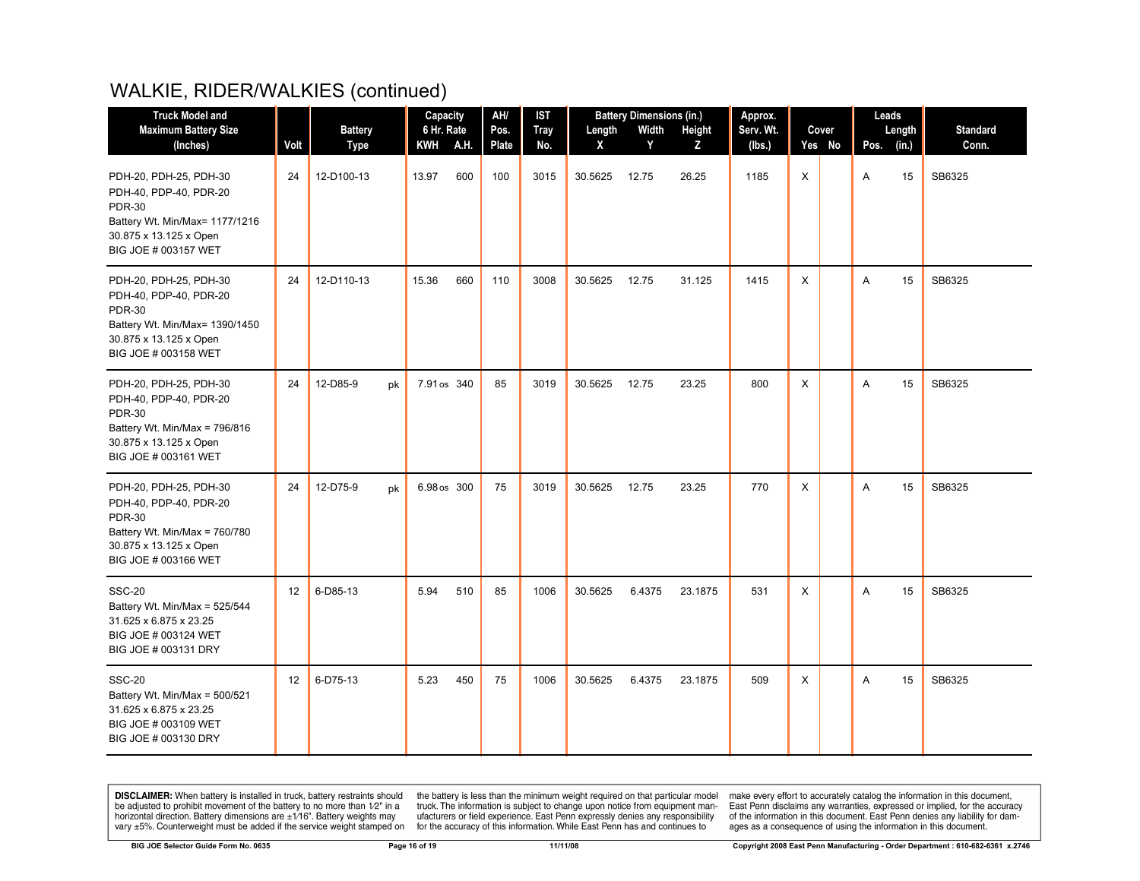| <b>Truck Model and</b>                                                                                                                                |                 |                | Capacity     | AH/          | <b>IST</b>  |         | <b>Battery Dimensions (in.)</b> |         | Approx.   |        | Leads         |                 |
|-------------------------------------------------------------------------------------------------------------------------------------------------------|-----------------|----------------|--------------|--------------|-------------|---------|---------------------------------|---------|-----------|--------|---------------|-----------------|
| <b>Maximum Battery Size</b>                                                                                                                           |                 | <b>Battery</b> | 6 Hr. Rate   | Pos.         | <b>Tray</b> | Length  | Width                           | Height  | Serv. Wt. | Cover  | Length        | <b>Standard</b> |
| (Inches)                                                                                                                                              | Volt            | <b>Type</b>    | KWH A.H.     | <b>Plate</b> | No.         | X       | Y                               | Z       | (lbs.)    | Yes No | (in.)<br>Pos. | Conn.           |
| PDH-20, PDH-25, PDH-30<br>PDH-40, PDP-40, PDR-20<br><b>PDR-30</b><br>Battery Wt. Min/Max= 1177/1216<br>30.875 x 13.125 x Open<br>BIG JOE # 003157 WET | 24              | 12-D100-13     | 600<br>13.97 | 100          | 3015        | 30.5625 | 12.75                           | 26.25   | 1185      | X      | A<br>15       | SB6325          |
| PDH-20, PDH-25, PDH-30<br>PDH-40, PDP-40, PDR-20<br><b>PDR-30</b><br>Battery Wt. Min/Max= 1390/1450<br>30.875 x 13.125 x Open<br>BIG JOE # 003158 WET | 24              | 12-D110-13     | 15.36<br>660 | 110          | 3008        | 30.5625 | 12.75                           | 31.125  | 1415      | X      | A<br>15       | SB6325          |
| PDH-20, PDH-25, PDH-30<br>PDH-40, PDP-40, PDR-20<br><b>PDR-30</b><br>Battery Wt. Min/Max = 796/816<br>30.875 x 13.125 x Open<br>BIG JOE # 003161 WET  | 24              | 12-D85-9<br>pk | 7.91 os 340  | 85           | 3019        | 30.5625 | 12.75                           | 23.25   | 800       | Χ      | Α<br>15       | SB6325          |
| PDH-20, PDH-25, PDH-30<br>PDH-40, PDP-40, PDR-20<br><b>PDR-30</b><br>Battery Wt. Min/Max = 760/780<br>30.875 x 13.125 x Open<br>BIG JOE # 003166 WET  | 24              | 12-D75-9<br>pk | 6.98 os 300  | 75           | 3019        | 30.5625 | 12.75                           | 23.25   | 770       | X      | A<br>15       | SB6325          |
| <b>SSC-20</b><br>Battery Wt. Min/Max = 525/544<br>31.625 x 6.875 x 23.25<br>BIG JOE # 003124 WET<br>BIG JOE # 003131 DRY                              | 12 <sup>°</sup> | 6-D85-13       | 5.94<br>510  | 85           | 1006        | 30.5625 | 6.4375                          | 23.1875 | 531       | X      | Α<br>15       | SB6325          |
| <b>SSC-20</b><br>Battery Wt. Min/Max = 500/521<br>31.625 x 6.875 x 23.25<br>BIG JOE # 003109 WET<br>BIG JOE # 003130 DRY                              | 12 <sup>2</sup> | 6-D75-13       | 5.23<br>450  | 75           | 1006        | 30.5625 | 6.4375                          | 23.1875 | 509       | X      | A<br>15       | SB6325          |

**DISCLAIMER:** When battery is installed in truck, battery restraints should be adjusted to prohibit movement of the battery to no more than  $12^v$  in a horizontal direction. Battery dimensions are  $\pm 1/16^v$ . Battery wei

the battery is less than the minimum weight required on that particular model<br>truck. The information is subject to change upon notice from equipment man-<br>ufacturers or field experience. East Penn expressly denies any respo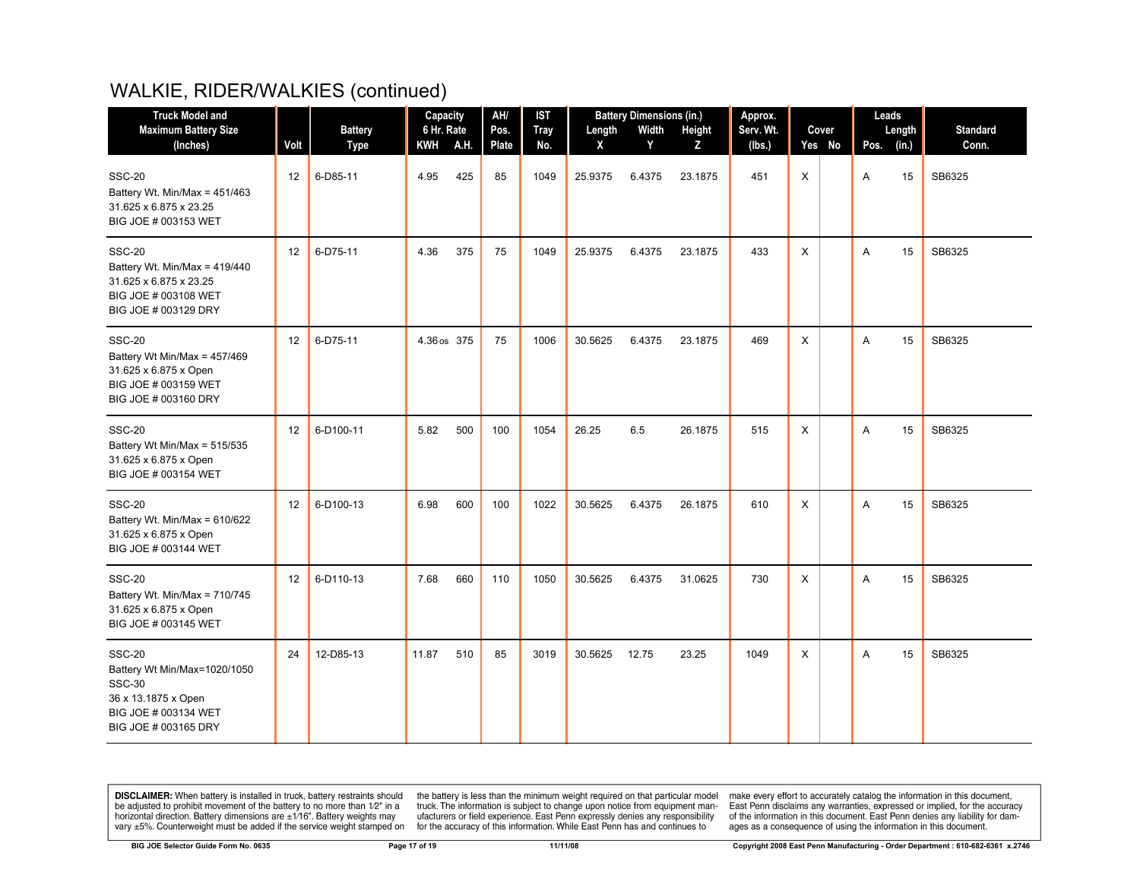| <b>Truck Model and</b>                                                                                                                | AH/<br><b>Battery Dimensions (in.)</b><br>Capacity<br><b>IST</b> |                |             | Approx. |       |             | Leads   |        |         |           |   |        |      |        |                 |
|---------------------------------------------------------------------------------------------------------------------------------------|------------------------------------------------------------------|----------------|-------------|---------|-------|-------------|---------|--------|---------|-----------|---|--------|------|--------|-----------------|
| <b>Maximum Battery Size</b>                                                                                                           |                                                                  | <b>Battery</b> | 6 Hr. Rate  |         | Pos.  | <b>Tray</b> | Length  | Width  | Height  | Serv. Wt. |   | Cover  |      | Length | <b>Standard</b> |
| (Inches)                                                                                                                              | Volt                                                             | <b>Type</b>    | KWH A.H.    |         | Plate | No.         | X       | Y      | Z       | (lbs.)    |   | Yes No | Pos. | (in.)  | Conn.           |
| <b>SSC-20</b><br>Battery Wt. Min/Max = 451/463<br>31.625 x 6.875 x 23.25<br>BIG JOE # 003153 WET                                      | 12                                                               | 6-D85-11       | 4.95        | 425     | 85    | 1049        | 25.9375 | 6.4375 | 23.1875 | 451       | X |        | Α    | 15     | SB6325          |
| <b>SSC-20</b><br>Battery Wt. Min/Max = 419/440<br>31.625 x 6.875 x 23.25<br>BIG JOE # 003108 WET<br>BIG JOE # 003129 DRY              | 12                                                               | 6-D75-11       | 4.36        | 375     | 75    | 1049        | 25.9375 | 6.4375 | 23.1875 | 433       | X |        | A    | 15     | SB6325          |
| <b>SSC-20</b><br>Battery Wt Min/Max = 457/469<br>31.625 x 6.875 x Open<br>BIG JOE # 003159 WET<br>BIG JOE # 003160 DRY                | 12                                                               | 6-D75-11       | 4.36 os 375 |         | 75    | 1006        | 30.5625 | 6.4375 | 23.1875 | 469       | X |        | Α    | 15     | SB6325          |
| <b>SSC-20</b><br>Battery Wt Min/Max = 515/535<br>31.625 x 6.875 x Open<br>BIG JOE # 003154 WET                                        | 12                                                               | 6-D100-11      | 5.82        | 500     | 100   | 1054        | 26.25   | 6.5    | 26.1875 | 515       | X |        | A    | 15     | SB6325          |
| <b>SSC-20</b><br>Battery Wt. Min/Max = 610/622<br>31.625 x 6.875 x Open<br>BIG JOE # 003144 WET                                       | 12                                                               | 6-D100-13      | 6.98        | 600     | 100   | 1022        | 30.5625 | 6.4375 | 26.1875 | 610       | X |        | A    | 15     | SB6325          |
| <b>SSC-20</b><br>Battery Wt. Min/Max = 710/745<br>31.625 x 6.875 x Open<br>BIG JOE # 003145 WET                                       | 12                                                               | 6-D110-13      | 7.68        | 660     | 110   | 1050        | 30.5625 | 6.4375 | 31.0625 | 730       | X |        | A    | 15     | SB6325          |
| <b>SSC-20</b><br>Battery Wt Min/Max=1020/1050<br><b>SSC-30</b><br>36 x 13.1875 x Open<br>BIG JOE # 003134 WET<br>BIG JOE # 003165 DRY | 24                                                               | 12-D85-13      | 11.87       | 510     | 85    | 3019        | 30.5625 | 12.75  | 23.25   | 1049      | X |        | A    | 15     | SB6325          |

**DISCLAIMER:** When battery is installed in truck, battery restraints should be adjusted to prohibit movement of the battery to no more than  $12^v$  in a horizontal direction. Battery dimensions are  $\pm 1/16^v$ . Battery wei

the battery is less than the minimum weight required on that particular model<br>truck. The information is subject to change upon notice from equipment man-<br>ufacturers or field experience. East Penn expressly denies any respo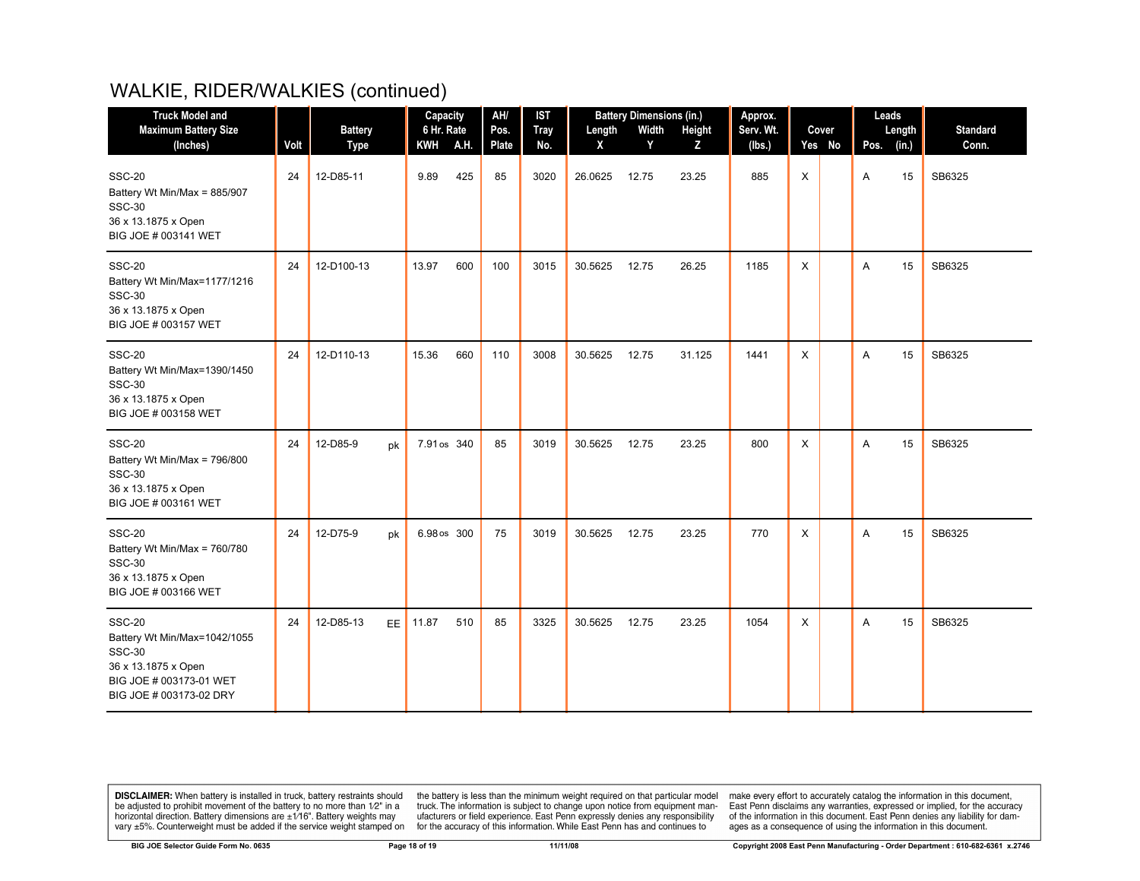| <b>Truck Model and</b>                                                                                                                      |      |                               |           | Capacity                  | AH/           | <b>IST</b>         | <b>Battery Dimensions (in.)</b> |            |             | Approx.             |   |                 |      | Leads           |                          |  |
|---------------------------------------------------------------------------------------------------------------------------------------------|------|-------------------------------|-----------|---------------------------|---------------|--------------------|---------------------------------|------------|-------------|---------------------|---|-----------------|------|-----------------|--------------------------|--|
| <b>Maximum Battery Size</b><br>(Inches)                                                                                                     | Volt | <b>Battery</b><br><b>Type</b> |           | 6 Hr. Rate<br>A.H.<br>KWH | Pos.<br>Plate | <b>Tray</b><br>No. | Length<br>X                     | Width<br>Y | Height<br>Z | Serv. Wt.<br>(lbs.) |   | Cover<br>Yes No | Pos. | Length<br>(in.) | <b>Standard</b><br>Conn. |  |
| <b>SSC-20</b><br>Battery Wt Min/Max = 885/907<br><b>SSC-30</b><br>36 x 13.1875 x Open<br>BIG JOE # 003141 WET                               | 24   | 12-D85-11                     |           | 425<br>9.89               | 85            | 3020               | 26.0625                         | 12.75      | 23.25       | 885                 | X |                 | Α    | 15              | SB6325                   |  |
| <b>SSC-20</b><br>Battery Wt Min/Max=1177/1216<br><b>SSC-30</b><br>36 x 13.1875 x Open<br>BIG JOE # 003157 WET                               | 24   | 12-D100-13                    |           | 13.97<br>600              | 100           | 3015               | 30.5625                         | 12.75      | 26.25       | 1185                | X |                 | A    | 15              | SB6325                   |  |
| <b>SSC-20</b><br>Battery Wt Min/Max=1390/1450<br><b>SSC-30</b><br>36 x 13.1875 x Open<br>BIG JOE # 003158 WET                               | 24   | 12-D110-13                    |           | 15.36<br>660              | 110           | 3008               | 30.5625                         | 12.75      | 31.125      | 1441                | X |                 | A    | 15              | SB6325                   |  |
| <b>SSC-20</b><br>Battery Wt Min/Max = 796/800<br><b>SSC-30</b><br>36 x 13.1875 x Open<br>BIG JOE # 003161 WET                               | 24   | 12-D85-9                      | pk        | 7.91 os 340               | 85            | 3019               | 30.5625                         | 12.75      | 23.25       | 800                 | X |                 | A    | 15              | SB6325                   |  |
| <b>SSC-20</b><br>Battery Wt Min/Max = 760/780<br><b>SSC-30</b><br>36 x 13.1875 x Open<br>BIG JOE # 003166 WET                               | 24   | 12-D75-9                      | pk        | 6.98 os 300               | 75            | 3019               | 30.5625                         | 12.75      | 23.25       | 770                 | X |                 | A    | 15              | SB6325                   |  |
| <b>SSC-20</b><br>Battery Wt Min/Max=1042/1055<br><b>SSC-30</b><br>36 x 13.1875 x Open<br>BIG JOE # 003173-01 WET<br>BIG JOE # 003173-02 DRY | 24   | 12-D85-13                     | <b>EE</b> | 11.87<br>510              | 85            | 3325               | 30.5625                         | 12.75      | 23.25       | 1054                | X |                 | A    | 15              | SB6325                   |  |

**DISCLAIMER:** When battery is installed in truck, battery restraints should be adjusted to prohibit movement of the battery to no more than  $12^v$  in a horizontal direction. Battery dimensions are  $\pm 1/16^v$ . Battery wei

the battery is less than the minimum weight required on that particular model<br>truck. The information is subject to change upon notice from equipment man-<br>ufacturers or field experience. East Penn expressly denies any respo